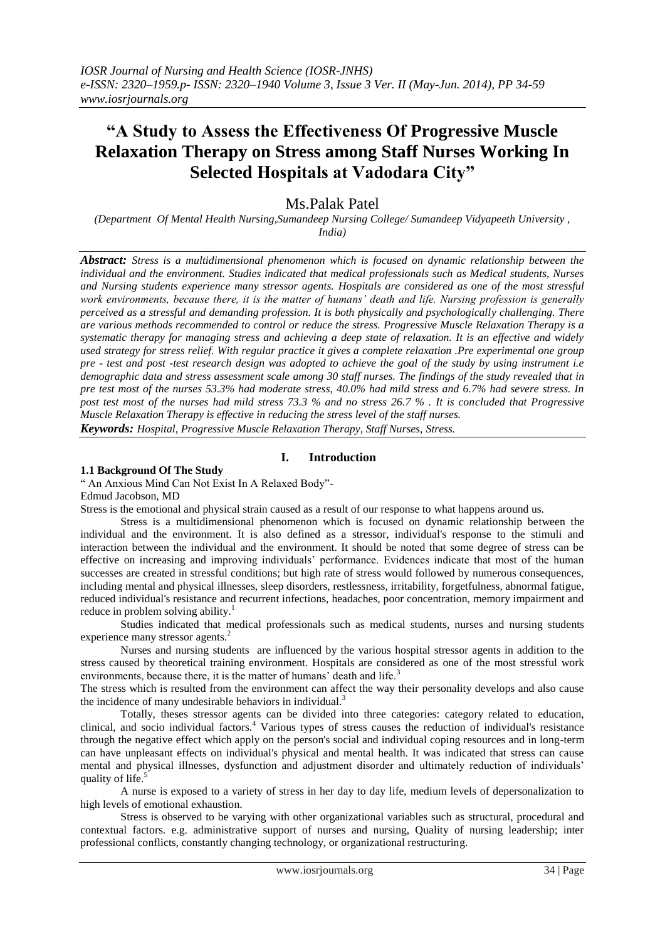# **"A Study to Assess the Effectiveness Of Progressive Muscle Relaxation Therapy on Stress among Staff Nurses Working In Selected Hospitals at Vadodara City"**

# Ms.Palak Patel

*(Department Of Mental Health Nursing,Sumandeep Nursing College/ Sumandeep Vidyapeeth University , India)* 

*Abstract: Stress is a multidimensional phenomenon which is focused on dynamic relationship between the individual and the environment. Studies indicated that medical professionals such as Medical students, Nurses and Nursing students experience many stressor agents. Hospitals are considered as one of the most stressful work environments, because there, it is the matter of humans' death and life. Nursing profession is generally perceived as a stressful and demanding profession. It is both physically and psychologically challenging. There are various methods recommended to control or reduce the stress. Progressive Muscle Relaxation Therapy is a systematic therapy for managing stress and achieving a deep state of relaxation. It is an effective and widely used strategy for stress relief. With regular practice it gives a complete relaxation .Pre experimental one group pre - test and post -test research design was adopted to achieve the goal of the study by using instrument i.e demographic data and stress assessment scale among 30 staff nurses. The findings of the study revealed that in pre test most of the nurses 53.3% had moderate stress, 40.0% had mild stress and 6.7% had severe stress. In post test most of the nurses had mild stress 73.3 % and no stress 26.7 % . It is concluded that Progressive Muscle Relaxation Therapy is effective in reducing the stress level of the staff nurses. Keywords: Hospital, Progressive Muscle Relaxation Therapy, Staff Nurses, Stress.* 

# **I. Introduction**

#### **1.1 Background Of The Study**

" An Anxious Mind Can Not Exist In A Relaxed Body"-

Edmud Jacobson, MD

Stress is the emotional and physical strain caused as a result of our response to what happens around us.

Stress is a multidimensional phenomenon which is focused on dynamic relationship between the individual and the environment. It is also defined as a stressor, individual's response to the stimuli and interaction between the individual and the environment. It should be noted that some degree of stress can be effective on increasing and improving individuals' performance. Evidences indicate that most of the human successes are created in stressful conditions; but high rate of stress would followed by numerous consequences, including mental and physical illnesses, sleep disorders, restlessness, irritability, forgetfulness, abnormal fatigue, reduced individual's resistance and recurrent infections, headaches, poor concentration, memory impairment and reduce in problem solving ability.<sup>1</sup>

Studies indicated that medical professionals such as medical students, nurses and nursing students experience many stressor agents.<sup>2</sup>

Nurses and nursing students are influenced by the various hospital stressor agents in addition to the stress caused by theoretical training environment. Hospitals are considered as one of the most stressful work environments, because there, it is the matter of humans' death and life.<sup>3</sup>

The stress which is resulted from the environment can affect the way their personality develops and also cause the incidence of many undesirable behaviors in individual.<sup>3</sup>

Totally, theses stressor agents can be divided into three categories: category related to education, clinical, and socio individual factors.<sup>4</sup> Various types of stress causes the reduction of individual's resistance through the negative effect which apply on the person's social and individual coping resources and in long-term can have unpleasant effects on individual's physical and mental health. It was indicated that stress can cause mental and physical illnesses, dysfunction and adjustment disorder and ultimately reduction of individuals' quality of life.<sup>5</sup>

A nurse is exposed to a variety of stress in her day to day life, medium levels of depersonalization to high levels of emotional exhaustion.

Stress is observed to be varying with other organizational variables such as structural, procedural and contextual factors. e.g. administrative support of nurses and nursing, Quality of nursing leadership; inter professional conflicts, constantly changing technology, or organizational restructuring.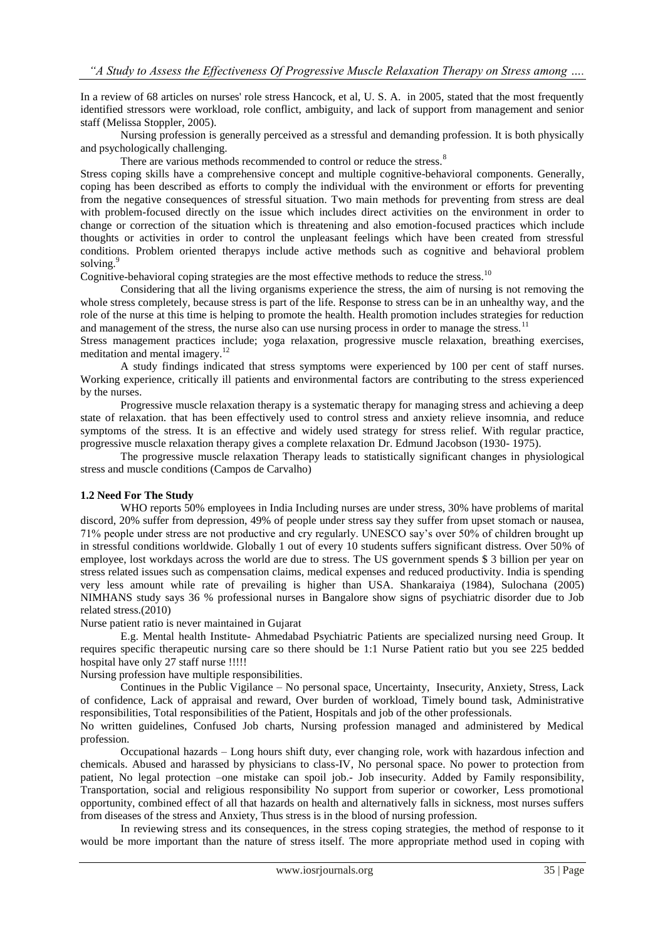In a review of 68 articles on nurses' role stress Hancock, et al, U. S. A. in 2005, stated that the most frequently identified stressors were workload, role conflict, ambiguity, and lack of support from management and senior staff (Melissa Stoppler, 2005).

Nursing profession is generally perceived as a stressful and demanding profession. It is both physically and psychologically challenging.

There are various methods recommended to control or reduce the stress.<sup>8</sup>

Stress coping skills have a comprehensive concept and multiple cognitive-behavioral components. Generally, coping has been described as efforts to comply the individual with the environment or efforts for preventing from the negative consequences of stressful situation. Two main methods for preventing from stress are deal with problem-focused directly on the issue which includes direct activities on the environment in order to change or correction of the situation which is threatening and also emotion-focused practices which include thoughts or activities in order to control the unpleasant feelings which have been created from stressful conditions. Problem oriented therapys include active methods such as cognitive and behavioral problem solving.<sup>9</sup>

Cognitive-behavioral coping strategies are the most effective methods to reduce the stress.<sup>10</sup>

Considering that all the living organisms experience the stress, the aim of nursing is not removing the whole stress completely, because stress is part of the life. Response to stress can be in an unhealthy way, and the role of the nurse at this time is helping to promote the health. Health promotion includes strategies for reduction and management of the stress, the nurse also can use nursing process in order to manage the stress.<sup>11</sup>

Stress management practices include; yoga relaxation, progressive muscle relaxation, breathing exercises, meditation and mental imagery.<sup>12</sup>

A study findings indicated that stress symptoms were experienced by 100 per cent of staff nurses. Working experience, critically ill patients and environmental factors are contributing to the stress experienced by the nurses.

Progressive muscle relaxation therapy is a systematic therapy for managing stress and achieving a deep state of relaxation. that has been effectively used to control stress and anxiety relieve insomnia, and reduce symptoms of the stress. It is an effective and widely used strategy for stress relief. With regular practice, progressive muscle relaxation therapy gives a complete relaxation Dr. Edmund Jacobson (1930- 1975).

The progressive muscle relaxation Therapy leads to statistically significant changes in physiological stress and muscle conditions (Campos de Carvalho)

#### **1.2 Need For The Study**

WHO reports 50% employees in India Including nurses are under stress, 30% have problems of marital discord, 20% suffer from depression, 49% of people under stress say they suffer from upset stomach or nausea, 71% people under stress are not productive and cry regularly. UNESCO say's over 50% of children brought up in stressful conditions worldwide. Globally 1 out of every 10 students suffers significant distress. Over 50% of employee, lost workdays across the world are due to stress. The US government spends \$ 3 billion per year on stress related issues such as compensation claims, medical expenses and reduced productivity. India is spending very less amount while rate of prevailing is higher than USA. Shankaraiya (1984), Sulochana (2005) NIMHANS study says 36 % professional nurses in Bangalore show signs of psychiatric disorder due to Job related stress.(2010)

Nurse patient ratio is never maintained in Gujarat

E.g. Mental health Institute- Ahmedabad Psychiatric Patients are specialized nursing need Group. It requires specific therapeutic nursing care so there should be 1:1 Nurse Patient ratio but you see 225 bedded hospital have only 27 staff nurse !!!!!

Nursing profession have multiple responsibilities.

Continues in the Public Vigilance – No personal space, Uncertainty, Insecurity, Anxiety, Stress, Lack of confidence, Lack of appraisal and reward, Over burden of workload, Timely bound task, Administrative responsibilities, Total responsibilities of the Patient, Hospitals and job of the other professionals.

No written guidelines, Confused Job charts, Nursing profession managed and administered by Medical profession.

Occupational hazards – Long hours shift duty, ever changing role, work with hazardous infection and chemicals. Abused and harassed by physicians to class-IV, No personal space. No power to protection from patient, No legal protection –one mistake can spoil job.- Job insecurity. Added by Family responsibility, Transportation, social and religious responsibility No support from superior or coworker, Less promotional opportunity, combined effect of all that hazards on health and alternatively falls in sickness, most nurses suffers from diseases of the stress and Anxiety, Thus stress is in the blood of nursing profession.

In reviewing stress and its consequences, in the stress coping strategies, the method of response to it would be more important than the nature of stress itself. The more appropriate method used in coping with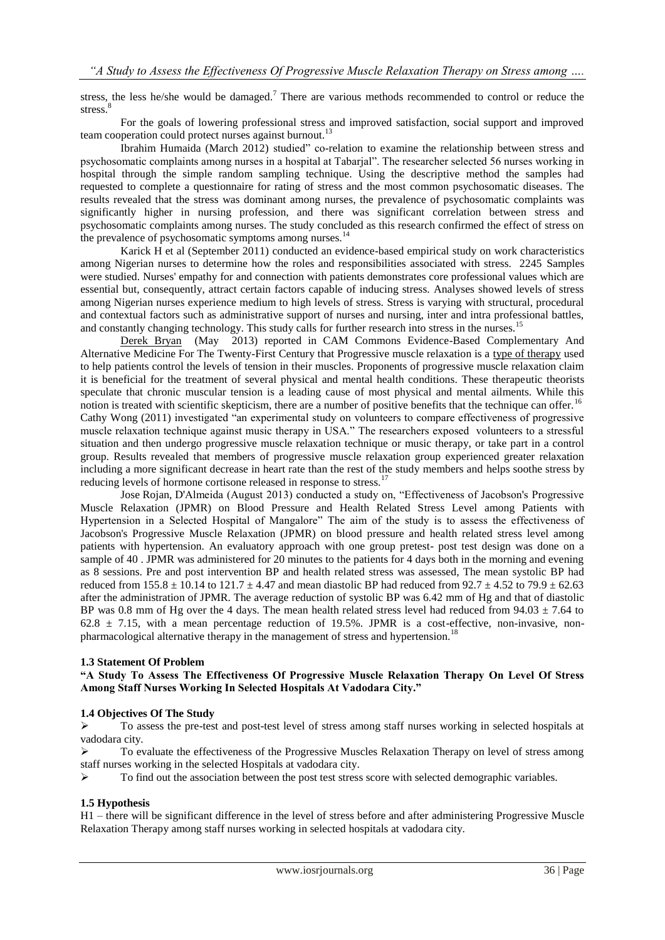stress, the less he/she would be damaged.<sup>7</sup> There are various methods recommended to control or reduce the stress. $8$ 

For the goals of lowering professional stress and improved satisfaction, social support and improved team cooperation could protect nurses against burnout.<sup>13</sup>

Ibrahim Humaida (March 2012) studied" co-relation to examine the relationship between stress and psychosomatic complaints among nurses in a hospital at Tabarjal‖. The researcher selected 56 nurses working in hospital through the simple random sampling technique. Using the descriptive method the samples had requested to complete a questionnaire for rating of stress and the most common psychosomatic diseases. The results revealed that the stress was dominant among nurses, the prevalence of psychosomatic complaints was significantly higher in nursing profession, and there was significant correlation between stress and psychosomatic complaints among nurses. The study concluded as this research confirmed the effect of stress on the prevalence of psychosomatic symptoms among nurses. $1$ 

Karick H et al (September 2011) conducted an evidence-based empirical study on work characteristics among Nigerian nurses to determine how the roles and responsibilities associated with stress. 2245 Samples were studied. Nurses' empathy for and connection with patients demonstrates core professional values which are essential but, consequently, attract certain factors capable of inducing stress. Analyses showed levels of stress among Nigerian nurses experience medium to high levels of stress. Stress is varying with structural, procedural and contextual factors such as administrative support of nurses and nursing, inter and intra professional battles, and constantly changing technology. This study calls for further research into stress in the nurses.<sup>15</sup>

[Derek Bryan](http://www.camcommons.org/derek-bryan.html) (May 2013) reported in CAM Commons Evidence-Based Complementary And Alternative Medicine For The Twenty-First Century that Progressive muscle relaxation is a [type of therapy](http://www.webmd.com/balance/stress-management/stress-management-doing-progressive-muscle-relaxation) used to help patients control the levels of tension in their muscles. Proponents of progressive muscle relaxation claim it is beneficial for the treatment of several physical and mental health conditions. These therapeutic theorists speculate that chronic muscular tension is a leading cause of most physical and mental ailments. While this notion is treated with scientific skepticism, there are a number of positive benefits that the technique can offer.<sup>16</sup> Cathy Wong (2011) investigated "an experimental study on volunteers to compare effectiveness of progressive muscle relaxation technique against music therapy in USA." The researchers exposed volunteers to a stressful situation and then undergo progressive muscle relaxation technique or music therapy, or take part in a control group. Results revealed that members of progressive muscle relaxation group experienced greater relaxation including a more significant decrease in heart rate than the rest of the study members and helps soothe stress by reducing levels of hormone cortisone released in response to stress.<sup>17</sup>

Jose Rojan, D'Almeida (August 2013) conducted a study on, "Effectiveness of Jacobson's Progressive Muscle Relaxation (JPMR) on Blood Pressure and Health Related Stress Level among Patients with Hypertension in a Selected Hospital of Mangalore" The aim of the study is to assess the effectiveness of Jacobson's Progressive Muscle Relaxation (JPMR) on blood pressure and health related stress level among patients with hypertension. An evaluatory approach with one group pretest- post test design was done on a sample of 40 . JPMR was administered for 20 minutes to the patients for 4 days both in the morning and evening as 8 sessions. Pre and post intervention BP and health related stress was assessed, The mean systolic BP had reduced from  $155.8 \pm 10.14$  to  $121.7 \pm 4.47$  and mean diastolic BP had reduced from  $92.7 \pm 4.52$  to  $79.9 \pm 62.63$ after the administration of JPMR. The average reduction of systolic BP was 6.42 mm of Hg and that of diastolic BP was 0.8 mm of Hg over the 4 days. The mean health related stress level had reduced from  $94.03 \pm 7.64$  to  $62.8 \pm 7.15$ , with a mean percentage reduction of 19.5%. JPMR is a cost-effective, non-invasive, nonpharmacological alternative therapy in the management of stress and hypertension.<sup>18</sup>

#### **1.3 Statement Of Problem**

**"A Study To Assess The Effectiveness Of Progressive Muscle Relaxation Therapy On Level Of Stress Among Staff Nurses Working In Selected Hospitals At Vadodara City."**

#### **1.4 Objectives Of The Study**

 To assess the pre-test and post-test level of stress among staff nurses working in selected hospitals at vadodara city.

 To evaluate the effectiveness of the Progressive Muscles Relaxation Therapy on level of stress among staff nurses working in the selected Hospitals at vadodara city.

To find out the association between the post test stress score with selected demographic variables.

#### **1.5 Hypothesis**

H1 – there will be significant difference in the level of stress before and after administering Progressive Muscle Relaxation Therapy among staff nurses working in selected hospitals at vadodara city.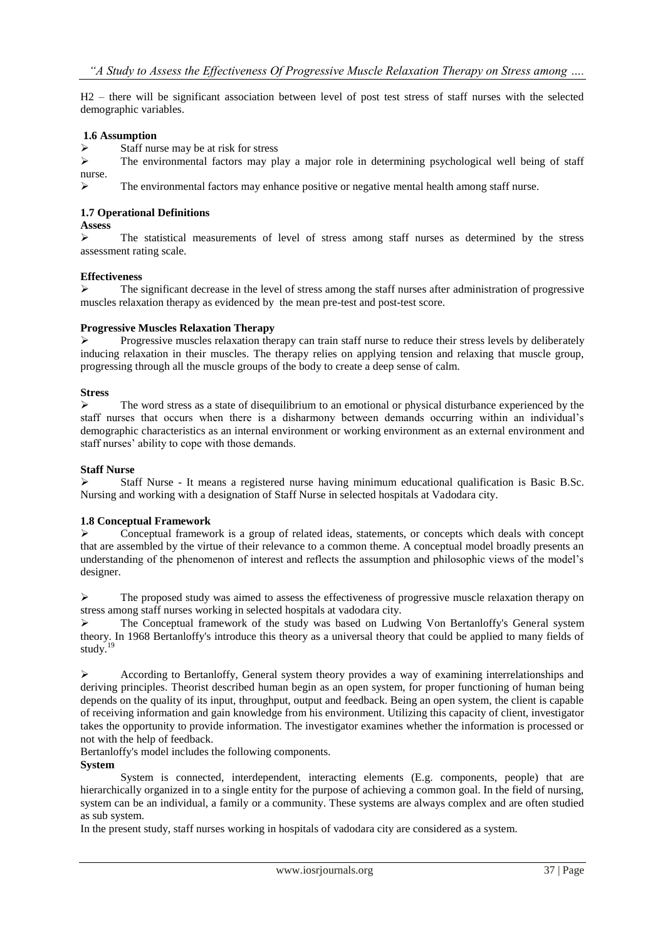H2 – there will be significant association between level of post test stress of staff nurses with the selected demographic variables.

## **1.6 Assumption**

 $\triangleright$  Staff nurse may be at risk for stress

 $\triangleright$  The environmental factors may play a major role in determining psychological well being of staff nurse.

 $\triangleright$  The environmental factors may enhance positive or negative mental health among staff nurse.

#### **1.7 Operational Definitions**

**Assess**

 $\triangleright$  The statistical measurements of level of stress among staff nurses as determined by the stress assessment rating scale.

#### **Effectiveness**

 $\triangleright$  The significant decrease in the level of stress among the staff nurses after administration of progressive muscles relaxation therapy as evidenced by the mean pre-test and post-test score.

#### **Progressive Muscles Relaxation Therapy**

 Progressive muscles relaxation therapy can train staff nurse to reduce their stress levels by deliberately inducing relaxation in their muscles. The therapy relies on applying tension and relaxing that muscle group, progressing through all the muscle groups of the body to create a deep sense of calm.

#### **Stress**

 $\triangleright$  The word stress as a state of disequilibrium to an emotional or physical disturbance experienced by the staff nurses that occurs when there is a disharmony between demands occurring within an individual's demographic characteristics as an internal environment or working environment as an external environment and staff nurses' ability to cope with those demands.

#### **Staff Nurse**

 $\triangleright$  Staff Nurse - It means a registered nurse having minimum educational qualification is Basic B.Sc. Nursing and working with a designation of Staff Nurse in selected hospitals at Vadodara city.

## **1.8 Conceptual Framework**

 $\triangleright$  Conceptual framework is a group of related ideas, statements, or concepts which deals with concept that are assembled by the virtue of their relevance to a common theme. A conceptual model broadly presents an understanding of the phenomenon of interest and reflects the assumption and philosophic views of the model's designer.

 $\triangleright$  The proposed study was aimed to assess the effectiveness of progressive muscle relaxation therapy on stress among staff nurses working in selected hospitals at vadodara city.

 The Conceptual framework of the study was based on Ludwing Von Bertanloffy's General system theory. In 1968 Bertanloffy's introduce this theory as a universal theory that could be applied to many fields of study.<sup>19</sup>

 $\triangleright$  According to Bertanloffy, General system theory provides a way of examining interrelationships and deriving principles. Theorist described human begin as an open system, for proper functioning of human being depends on the quality of its input, throughput, output and feedback. Being an open system, the client is capable of receiving information and gain knowledge from his environment. Utilizing this capacity of client, investigator takes the opportunity to provide information. The investigator examines whether the information is processed or not with the help of feedback.

Bertanloffy's model includes the following components.

## **System**

System is connected, interdependent, interacting elements (E.g. components, people) that are hierarchically organized in to a single entity for the purpose of achieving a common goal. In the field of nursing, system can be an individual, a family or a community. These systems are always complex and are often studied as sub system.

In the present study, staff nurses working in hospitals of vadodara city are considered as a system.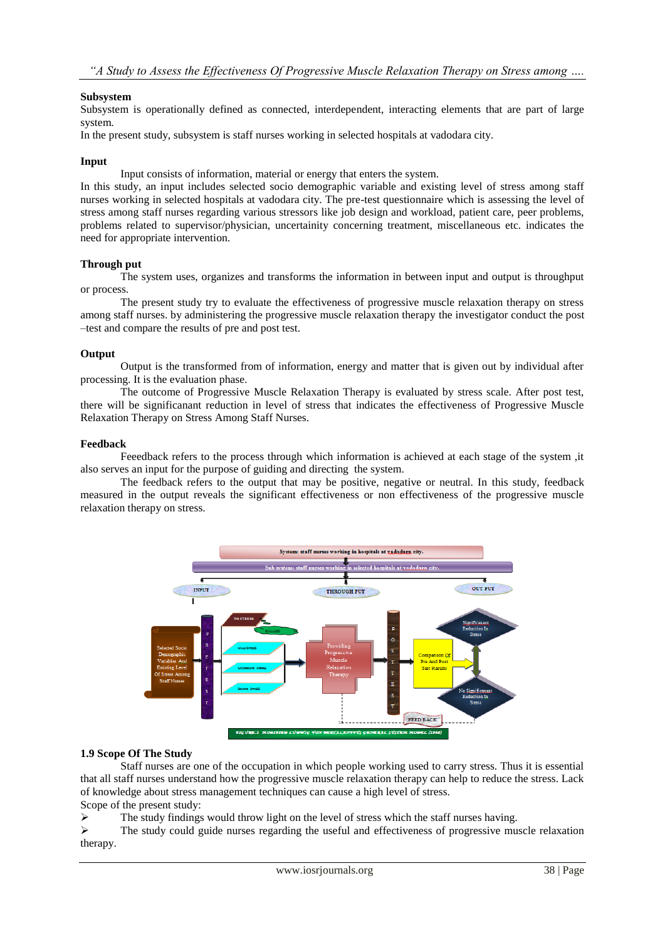## **Subsystem**

Subsystem is operationally defined as connected, interdependent, interacting elements that are part of large system.

In the present study, subsystem is staff nurses working in selected hospitals at vadodara city.

#### **Input**

Input consists of information, material or energy that enters the system.

In this study, an input includes selected socio demographic variable and existing level of stress among staff nurses working in selected hospitals at vadodara city. The pre-test questionnaire which is assessing the level of stress among staff nurses regarding various stressors like job design and workload, patient care, peer problems, problems related to supervisor/physician, uncertainity concerning treatment, miscellaneous etc. indicates the need for appropriate intervention.

#### **Through put**

The system uses, organizes and transforms the information in between input and output is throughput or process.

The present study try to evaluate the effectiveness of progressive muscle relaxation therapy on stress among staff nurses. by administering the progressive muscle relaxation therapy the investigator conduct the post –test and compare the results of pre and post test.

#### **Output**

Output is the transformed from of information, energy and matter that is given out by individual after processing. It is the evaluation phase.

The outcome of Progressive Muscle Relaxation Therapy is evaluated by stress scale. After post test, there will be significanant reduction in level of stress that indicates the effectiveness of Progressive Muscle Relaxation Therapy on Stress Among Staff Nurses.

#### **Feedback**

Feeedback refers to the process through which information is achieved at each stage of the system ,it also serves an input for the purpose of guiding and directing the system.

The feedback refers to the output that may be positive, negative or neutral. In this study, feedback measured in the output reveals the significant effectiveness or non effectiveness of the progressive muscle relaxation therapy on stress.



#### **1.9 Scope Of The Study**

Staff nurses are one of the occupation in which people working used to carry stress. Thus it is essential that all staff nurses understand how the progressive muscle relaxation therapy can help to reduce the stress. Lack of knowledge about stress management techniques can cause a high level of stress. Scope of the present study:

 $\triangleright$  The study findings would throw light on the level of stress which the staff nurses having.

 $\triangleright$  The study could guide nurses regarding the useful and effectiveness of progressive muscle relaxation therapy.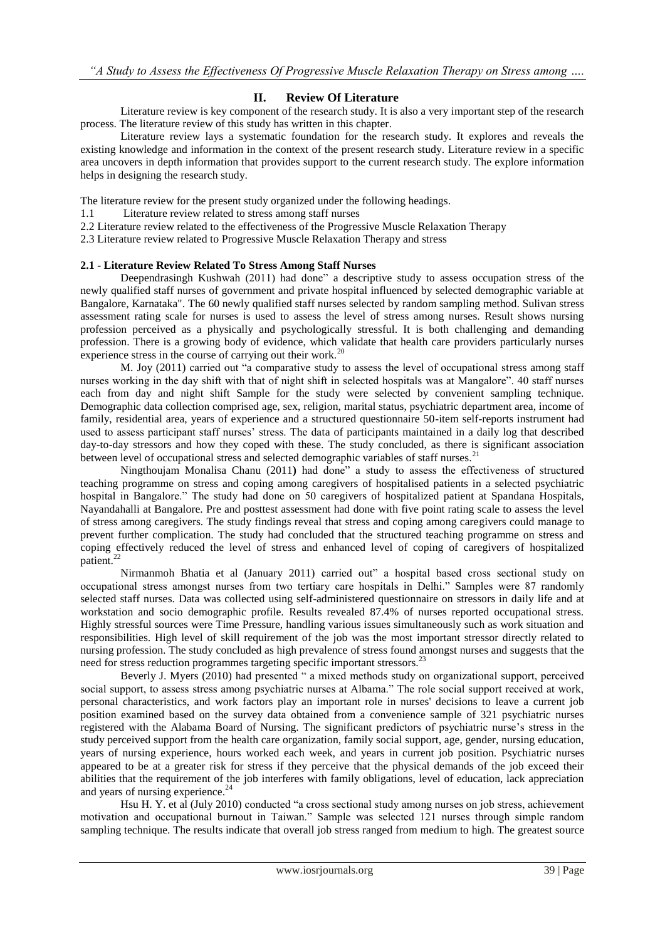## **II. Review Of Literature**

Literature review is key component of the research study. It is also a very important step of the research process. The literature review of this study has written in this chapter.

Literature review lays a systematic foundation for the research study. It explores and reveals the existing knowledge and information in the context of the present research study. Literature review in a specific area uncovers in depth information that provides support to the current research study. The explore information helps in designing the research study.

The literature review for the present study organized under the following headings.

- 1.1 Literature review related to stress among staff nurses
- 2.2 Literature review related to the effectiveness of the Progressive Muscle Relaxation Therapy
- 2.3 Literature review related to Progressive Muscle Relaxation Therapy and stress

## **2.1 - Literature Review Related To Stress Among Staff Nurses**

Deependrasingh Kushwah (2011) had done" a descriptive study to assess occupation stress of the newly qualified staff nurses of government and private hospital influenced by selected demographic variable at Bangalore, Karnataka". The 60 newly qualified staff nurses selected by random sampling method. Sulivan stress assessment rating scale for nurses is used to assess the level of stress among nurses. Result shows nursing profession perceived as a physically and psychologically stressful. It is both challenging and demanding profession. There is a growing body of evidence, which validate that health care providers particularly nurses experience stress in the course of carrying out their work.<sup>20</sup>

M. Joy (2011) carried out "a comparative study to assess the level of occupational stress among staff nurses working in the day shift with that of night shift in selected hospitals was at Mangalore". 40 staff nurses each from day and night shift Sample for the study were selected by convenient sampling technique. Demographic data collection comprised age, sex, religion, marital status, psychiatric department area, income of family, residential area, years of experience and a structured questionnaire 50-item self-reports instrument had used to assess participant staff nurses' stress. The data of participants maintained in a daily log that described day-to-day stressors and how they coped with these. The study concluded, as there is significant association between level of occupational stress and selected demographic variables of staff nurses.<sup>21</sup>

Ningthoujam Monalisa Chanu (2011) had done" a study to assess the effectiveness of structured teaching programme on stress and coping among caregivers of hospitalised patients in a selected psychiatric hospital in Bangalore." The study had done on 50 caregivers of hospitalized patient at Spandana Hospitals, Nayandahalli at Bangalore. Pre and posttest assessment had done with five point rating scale to assess the level of stress among caregivers. The study findings reveal that stress and coping among caregivers could manage to prevent further complication. The study had concluded that the structured teaching programme on stress and coping effectively reduced the level of stress and enhanced level of coping of caregivers of hospitalized patient.<sup>2</sup>

Nirmanmoh Bhatia et al (January 2011) carried out" a hospital based cross sectional study on occupational stress amongst nurses from two tertiary care hospitals in Delhi." Samples were 87 randomly selected staff nurses. Data was collected using self-administered questionnaire on stressors in daily life and at workstation and socio demographic profile. Results revealed 87.4% of nurses reported occupational stress. Highly stressful sources were Time Pressure, handling various issues simultaneously such as work situation and responsibilities. High level of skill requirement of the job was the most important stressor directly related to nursing profession. The study concluded as high prevalence of stress found amongst nurses and suggests that the need for stress reduction programmes targeting specific important stressors.<sup>23</sup>

Beverly J. Myers (2010) had presented " a mixed methods study on organizational support, perceived social support, to assess stress among psychiatric nurses at Albama." The role social support received at work, personal characteristics, and work factors play an important role in nurses' decisions to leave a current job position examined based on the survey data obtained from a convenience sample of 321 psychiatric nurses registered with the Alabama Board of Nursing. The significant predictors of psychiatric nurse's stress in the study perceived support from the health care organization, family social support, age, gender, nursing education, years of nursing experience, hours worked each week, and years in current job position. Psychiatric nurses appeared to be at a greater risk for stress if they perceive that the physical demands of the job exceed their abilities that the requirement of the job interferes with family obligations, level of education, lack appreciation and years of nursing experience.<sup>24</sup>

Hsu H. Y. et al (July 2010) conducted "a cross sectional study among nurses on job stress, achievement motivation and occupational burnout in Taiwan." Sample was selected 121 nurses through simple random sampling technique. The results indicate that overall job stress ranged from medium to high. The greatest source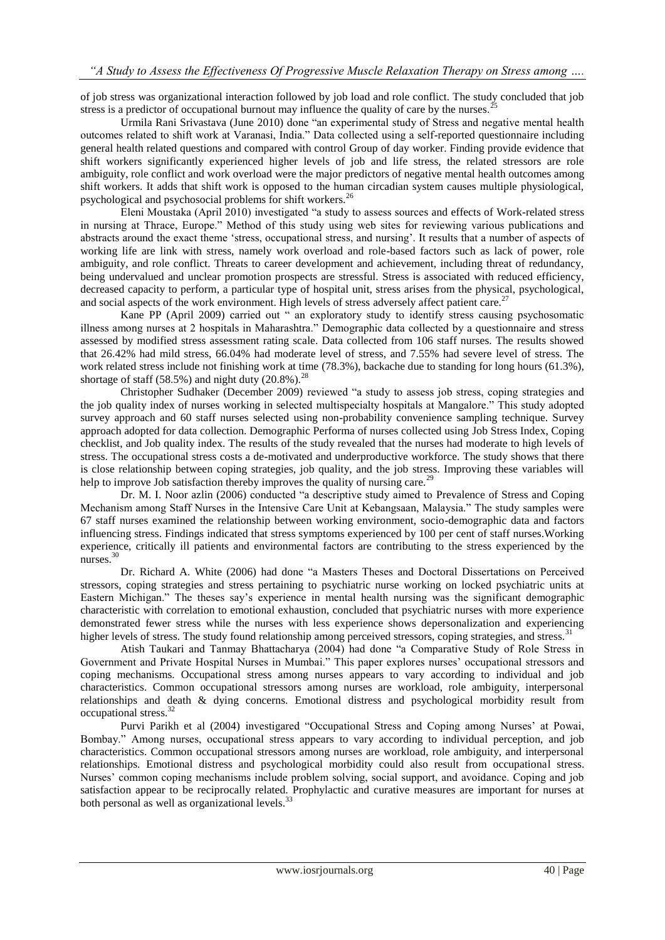of job stress was organizational interaction followed by job load and role conflict. The study concluded that job stress is a predictor of occupational burnout may influence the quality of care by the nurses.

Urmila Rani Srivastava (June 2010) done "an experimental study of Stress and negative mental health outcomes related to shift work at Varanasi, India.‖ Data collected using a self-reported questionnaire including general health related questions and compared with control Group of day worker. Finding provide evidence that shift workers significantly experienced higher levels of job and life stress, the related stressors are role ambiguity, role conflict and work overload were the major predictors of negative mental health outcomes among shift workers. It adds that shift work is opposed to the human circadian system causes multiple physiological, psychological and psychosocial problems for shift workers.<sup>26</sup>

Εleni Moustaka (April 2010) investigated ―a study to assess sources and effects of Work-related stress in nursing at Thrace, Europe." Method of this study using web sites for reviewing various publications and abstracts around the exact theme 'stress, occupational stress, and nursing'. It results that a number of aspects of working life are link with stress, namely work overload and role-based factors such as lack of power, role ambiguity, and role conflict. Threats to career development and achievement, including threat of redundancy, being undervalued and unclear promotion prospects are stressful. Stress is associated with reduced efficiency, decreased capacity to perform, a particular type of hospital unit, stress arises from the physical, psychological, and social aspects of the work environment. High levels of stress adversely affect patient care.<sup>27</sup>

Kane PP (April 2009) carried out " an exploratory study to identify stress causing psychosomatic illness among nurses at 2 hospitals in Maharashtra." Demographic data collected by a questionnaire and stress assessed by modified stress assessment rating scale. Data collected from 106 staff nurses. The results showed that 26.42% had mild stress, 66.04% had moderate level of stress, and 7.55% had severe level of stress. The work related stress include not finishing work at time (78.3%), backache due to standing for long hours (61.3%), shortage of staff (58.5%) and night duty (20.8%).<sup>28</sup>

Christopher Sudhaker (December 2009) reviewed "a study to assess job stress, coping strategies and the job quality index of nurses working in selected multispecialty hospitals at Mangalore." This study adopted survey approach and 60 staff nurses selected using non-probability convenience sampling technique. Survey approach adopted for data collection. Demographic Performa of nurses collected using Job Stress Index, Coping checklist, and Job quality index. The results of the study revealed that the nurses had moderate to high levels of stress. The occupational stress costs a de-motivated and underproductive workforce. The study shows that there is close relationship between coping strategies, job quality, and the job stress. Improving these variables will help to improve Job satisfaction thereby improves the quality of nursing care.<sup>29</sup>

Dr. M. I. Noor azlin (2006) conducted "a descriptive study aimed to Prevalence of Stress and Coping Mechanism among Staff Nurses in the Intensive Care Unit at Kebangsaan, Malaysia." The study samples were 67 staff nurses examined the relationship between working environment, socio-demographic data and factors influencing stress. Findings indicated that stress symptoms experienced by 100 per cent of staff nurses.Working experience, critically ill patients and environmental factors are contributing to the stress experienced by the nurses. $30$ 

Dr. Richard A. White (2006) had done "a Masters Theses and Doctoral Dissertations on Perceived stressors, coping strategies and stress pertaining to psychiatric nurse working on locked psychiatric units at Eastern Michigan." The theses say's experience in mental health nursing was the significant demographic characteristic with correlation to emotional exhaustion, concluded that psychiatric nurses with more experience demonstrated fewer stress while the nurses with less experience shows depersonalization and experiencing higher levels of stress. The study found relationship among perceived stressors, coping strategies, and stress.<sup>31</sup>

Atish Taukari and Tanmay Bhattacharya (2004) had done "a Comparative Study of Role Stress in Government and Private Hospital Nurses in Mumbai." This paper explores nurses' occupational stressors and coping mechanisms. Occupational stress among nurses appears to vary according to individual and job characteristics. Common occupational stressors among nurses are workload, role ambiguity, interpersonal relationships and death & dying concerns. Emotional distress and psychological morbidity result from occupational stress.<sup>32</sup>

Purvi Parikh et al (2004) investigared "Occupational Stress and Coping among Nurses' at Powai, Bombay.‖ Among nurses, occupational stress appears to vary according to individual perception, and job characteristics. Common occupational stressors among nurses are workload, role ambiguity, and interpersonal relationships. Emotional distress and psychological morbidity could also result from occupational stress. Nurses' common coping mechanisms include problem solving, social support, and avoidance. Coping and job satisfaction appear to be reciprocally related. Prophylactic and curative measures are important for nurses at both personal as well as organizational levels. $3<sup>3</sup>$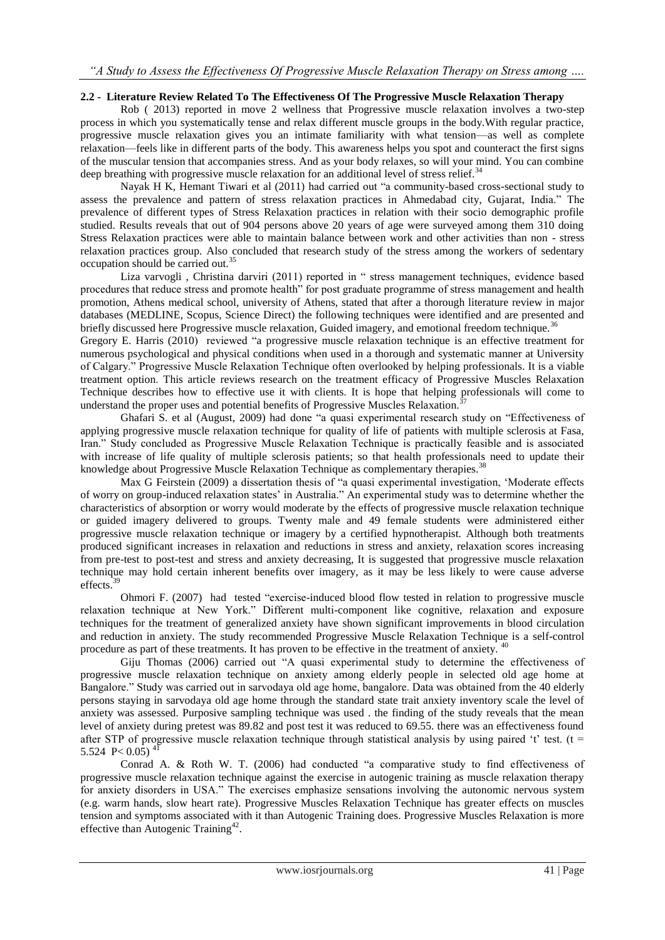## **2.2 - Literature Review Related To The Effectiveness Of The Progressive Muscle Relaxation Therapy**

Rob ( 2013) reported in move 2 wellness that Progressive muscle relaxation involves a two-step process in which you systematically tense and relax different muscle groups in the body.With regular practice, progressive muscle relaxation gives you an intimate familiarity with what tension—as well as complete relaxation—feels like in different parts of the body. This awareness helps you spot and counteract the first signs of the muscular tension that accompanies stress. And as your body relaxes, so will your mind. You can combine deep breathing with progressive muscle relaxation for an additional level of stress relief.<sup>34</sup>

Nayak H K, Hemant Tiwari et al (2011) had carried out "a community-based cross-sectional study to assess the prevalence and pattern of stress relaxation practices in Ahmedabad city, Gujarat, India." The prevalence of different types of Stress Relaxation practices in relation with their socio demographic profile studied. Results reveals that out of 904 persons above 20 years of age were surveyed among them 310 doing Stress Relaxation practices were able to maintain balance between work and other activities than non - stress relaxation practices group. Also concluded that research study of the stress among the workers of sedentary occupation should be carried out.<sup>35</sup>

Liza varvogli, Christina darviri (2011) reported in " stress management techniques, evidence based procedures that reduce stress and promote health‖ for post graduate programme of stress management and health promotion, Athens medical school, university of Athens, stated that after a thorough literature review in major databases (MEDLINE, Scopus, Science Direct) the following techniques were identified and are presented and briefly discussed here Progressive muscle relaxation, Guided imagery, and emotional freedom technique.<sup>36</sup>

Gregory E. Harris (2010) reviewed "a progressive muscle relaxation technique is an effective treatment for numerous psychological and physical conditions when used in a thorough and systematic manner at University of Calgary.‖ Progressive Muscle Relaxation Technique often overlooked by helping professionals. It is a viable treatment option. This article reviews research on the treatment efficacy of Progressive Muscles Relaxation Technique describes how to effective use it with clients. It is hope that helping professionals will come to understand the proper uses and potential benefits of Progressive Muscles Relaxation.<sup>3</sup>

Ghafari S. et al (August, 2009) had done "a quasi experimental research study on "Effectiveness of applying progressive muscle relaxation technique for quality of life of patients with multiple sclerosis at Fasa, Iran." Study concluded as Progressive Muscle Relaxation Technique is practically feasible and is associated with increase of life quality of multiple sclerosis patients; so that health professionals need to update their knowledge about Progressive Muscle Relaxation Technique as complementary therapies.<sup>38</sup>

Max G Feirstein (2009) a dissertation thesis of "a quasi experimental investigation, 'Moderate effects of worry on group-induced relaxation states' in Australia.‖ An experimental study was to determine whether the characteristics of absorption or worry would moderate by the effects of progressive muscle relaxation technique or guided imagery delivered to groups. Twenty male and 49 female students were administered either progressive muscle relaxation technique or imagery by a certified hypnotherapist. Although both treatments produced significant increases in relaxation and reductions in stress and anxiety, relaxation scores increasing from pre-test to post-test and stress and anxiety decreasing, It is suggested that progressive muscle relaxation technique may hold certain inherent benefits over imagery, as it may be less likely to were cause adverse effects.<sup>3</sup>

Ohmori F. (2007) had tested "exercise-induced blood flow tested in relation to progressive muscle relaxation technique at New York." Different multi-component like cognitive, relaxation and exposure techniques for the treatment of generalized anxiety have shown significant improvements in blood circulation and reduction in anxiety. The study recommended Progressive Muscle Relaxation Technique is a self-control procedure as part of these treatments. It has proven to be effective in the treatment of anxiety. <sup>40</sup>

Giju Thomas (2006) carried out "A quasi experimental study to determine the effectiveness of progressive muscle relaxation technique on anxiety among elderly people in selected old age home at Bangalore." Study was carried out in sarvodaya old age home, bangalore. Data was obtained from the 40 elderly persons staying in sarvodaya old age home through the standard state trait anxiety inventory scale the level of anxiety was assessed. Purposive sampling technique was used . the finding of the study reveals that the mean level of anxiety during pretest was 89.82 and post test it was reduced to 69.55. there was an effectiveness found after STP of progressive muscle relaxation technique through statistical analysis by using paired  $'t$  test. (t = 5.524  $P < 0.05$ 

Conrad A. & Roth W. T. (2006) had conducted "a comparative study to find effectiveness of progressive muscle relaxation technique against the exercise in autogenic training as muscle relaxation therapy for anxiety disorders in USA." The exercises emphasize sensations involving the autonomic nervous system (e.g. warm hands, slow heart rate). Progressive Muscles Relaxation Technique has greater effects on muscles tension and symptoms associated with it than Autogenic Training does. Progressive Muscles Relaxation is more effective than Autogenic Training<sup>42</sup>.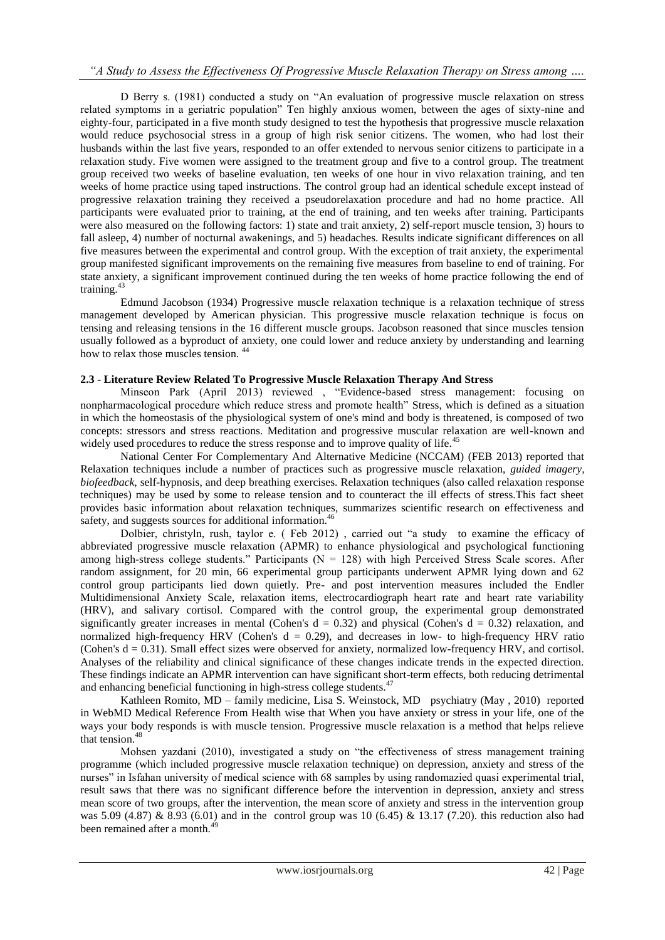D Berry s. (1981) conducted a study on "An evaluation of progressive muscle relaxation on stress related symptoms in a geriatric population" Ten highly anxious women, between the ages of sixty-nine and eighty-four, participated in a five month study designed to test the hypothesis that progressive muscle relaxation would reduce psychosocial stress in a group of high risk senior citizens. The women, who had lost their husbands within the last five years, responded to an offer extended to nervous senior citizens to participate in a relaxation study. Five women were assigned to the treatment group and five to a control group. The treatment group received two weeks of baseline evaluation, ten weeks of one hour in vivo relaxation training, and ten weeks of home practice using taped instructions. The control group had an identical schedule except instead of progressive relaxation training they received a pseudorelaxation procedure and had no home practice. All participants were evaluated prior to training, at the end of training, and ten weeks after training. Participants were also measured on the following factors: 1) state and trait anxiety, 2) self-report muscle tension, 3) hours to fall asleep, 4) number of nocturnal awakenings, and 5) headaches. Results indicate significant differences on all five measures between the experimental and control group. With the exception of trait anxiety, the experimental group manifested significant improvements on the remaining five measures from baseline to end of training. For state anxiety, a significant improvement continued during the ten weeks of home practice following the end of training.<sup>43</sup>

Edmund Jacobson (1934) Progressive muscle relaxation technique is a relaxation technique of stress management developed by American physician. This progressive muscle relaxation technique is focus on tensing and releasing tensions in the 16 different muscle groups. Jacobson reasoned that since muscles tension usually followed as a byproduct of anxiety, one could lower and reduce anxiety by understanding and learning how to relax those muscles tension.<sup>44</sup>

## **2.3 - Literature Review Related To Progressive Muscle Relaxation Therapy And Stress**

Minseon Park (April 2013) reviewed , "Evidence-based stress management: focusing on nonpharmacological procedure which reduce stress and promote health" Stress, which is defined as a situation in which the homeostasis of the physiological system of one's mind and body is threatened, is composed of two concepts: stressors and stress reactions. Meditation and progressive muscular relaxation are well-known and widely used procedures to reduce the stress response and to improve quality of life.<sup>45</sup>

National Center For Complementary And Alternative Medicine (NCCAM) (FEB 2013) reported that Relaxation techniques include a number of practices such as progressive muscle relaxation, *guided imagery, biofeedback*, self-hypnosis, and deep breathing exercises. Relaxation techniques (also called relaxation response techniques) may be used by some to release tension and to counteract the ill effects of stress.This fact sheet provides basic information about relaxation techniques, summarizes scientific research on effectiveness and safety, and suggests sources for additional information.<sup>46</sup>

Dolbier, christyln, rush, taylor e. (Feb 2012), carried out "a study to examine the efficacy of abbreviated progressive muscle relaxation (APMR) to enhance physiological and psychological functioning among high-stress college students." Participants ( $N = 128$ ) with high Perceived Stress Scale scores. After random assignment, for 20 min, 66 experimental group participants underwent APMR lying down and 62 control group participants lied down quietly. Pre- and post intervention measures included the Endler Multidimensional Anxiety Scale, relaxation items, electrocardiograph heart rate and heart rate variability (HRV), and salivary cortisol. Compared with the control group, the experimental group demonstrated significantly greater increases in mental (Cohen's  $d = 0.32$ ) and physical (Cohen's  $d = 0.32$ ) relaxation, and normalized high-frequency HRV (Cohen's  $d = 0.29$ ), and decreases in low- to high-frequency HRV ratio (Cohen's  $d = 0.31$ ). Small effect sizes were observed for anxiety, normalized low-frequency HRV, and cortisol. Analyses of the reliability and clinical significance of these changes indicate trends in the expected direction. These findings indicate an APMR intervention can have significant short-term effects, both reducing detrimental and enhancing beneficial functioning in high-stress college students.<sup>47</sup>

Kathleen Romito, MD – family medicine, Lisa S. Weinstock, MD psychiatry (May , 2010) reported in WebMD Medical Reference From Health wise that When you have anxiety or stress in your life, one of the ways your body responds is with muscle tension. Progressive muscle relaxation is a method that helps relieve that tension.<sup>48</sup>

Mohsen yazdani (2010), investigated a study on "the effectiveness of stress management training programme (which included progressive muscle relaxation technique) on depression, anxiety and stress of the nurses" in Isfahan university of medical science with 68 samples by using randomazied quasi experimental trial, result saws that there was no significant difference before the intervention in depression, anxiety and stress mean score of two groups, after the intervention, the mean score of anxiety and stress in the intervention group was 5.09 (4.87) & 8.93 (6.01) and in the control group was 10 (6.45) & 13.17 (7.20). this reduction also had been remained after a month.<sup>4</sup>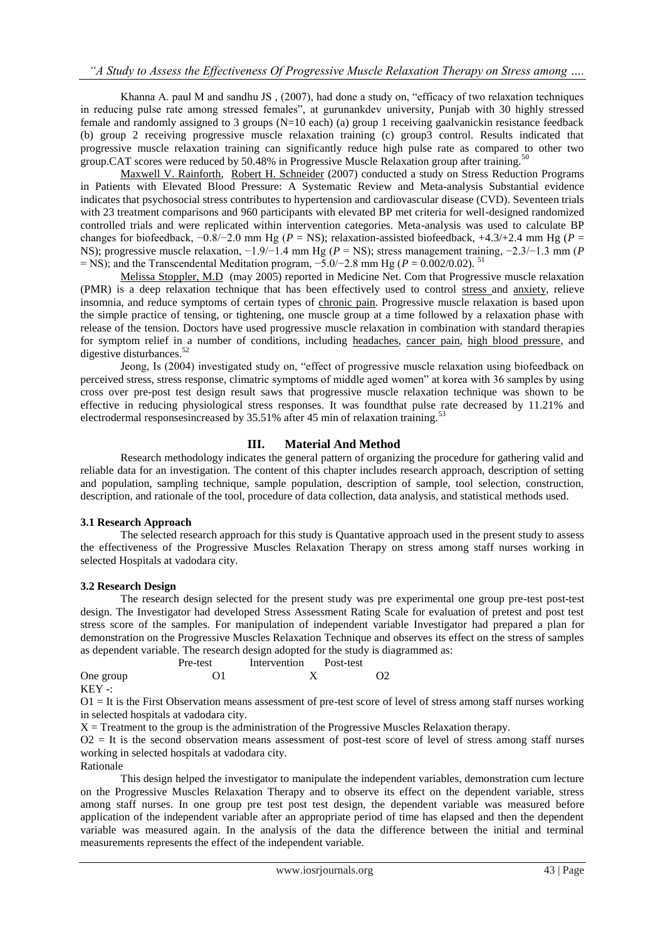Khanna A. paul M and sandhu JS ,  $(2007)$ , had done a study on, "efficacy of two relaxation techniques in reducing pulse rate among stressed females", at gurunankdev university. Punjab with 30 highly stressed female and randomly assigned to 3 groups (N=10 each) (a) group 1 receiving gaalvanickin resistance feedback (b) group 2 receiving progressive muscle relaxation training (c) group3 control. Results indicated that progressive muscle relaxation training can significantly reduce high pulse rate as compared to other two group.CAT scores were reduced by  $50.48\%$  in Progressive Muscle Relaxation group after training.<sup>50</sup>

[Maxwell V. Rainforth,](http://www.ncbi.nlm.nih.gov/pubmed/?term=Rainforth%20MV%5Bauth%5D) [Robert H. Schneider](http://www.ncbi.nlm.nih.gov/pubmed/?term=Schneider%20RH%5Bauth%5D) (2007) conducted a study on Stress Reduction Programs in Patients with Elevated Blood Pressure: A Systematic Review and Meta-analysis Substantial evidence indicates that psychosocial stress contributes to hypertension and cardiovascular disease (CVD). Seventeen trials with 23 treatment comparisons and 960 participants with elevated BP met criteria for well-designed randomized controlled trials and were replicated within intervention categories. Meta-analysis was used to calculate BP changes for biofeedback,  $-0.8/-2.0$  mm Hg ( $P = NS$ ); relaxation-assisted biofeedback,  $+4.3/+2.4$  mm Hg ( $P =$ NS); progressive muscle relaxation, −1.9/−1.4 mm Hg (*P* = NS); stress management training, −2.3/−1.3 mm (*P* = NS); and the Transcendental Meditation program, −5.0/−2.8 mm Hg (*P* = 0.002/0.02). <sup>51</sup>

[Melissa Stoppler, M.D](http://www.medicinenet.com/script/main/art.asp?articlekey=41529) (may 2005) reported in Medicine Net. Com that Progressive muscle relaxation (PMR) is a deep relaxation technique that has been effectively used to control [stress a](http://www.medicinenet.com/script/main/art.asp?articlekey=488)nd [anxiety,](http://www.medicinenet.com/script/main/art.asp?articlekey=9947) relieve insomnia, and reduce symptoms of certain types of [chronic pain.](http://www.medicinenet.com/script/main/art.asp?articlekey=20502) Progressive muscle relaxation is based upon the simple practice of tensing, or tightening, one muscle group at a time followed by a relaxation phase with release of the tension. Doctors have used progressive muscle relaxation in combination with standard therapies for symptom relief in a number of conditions, including [headaches,](http://www.medicinenet.com/script/main/art.asp?articlekey=20628) [cancer pain,](http://www.medicinenet.com/script/main/art.asp?articlekey=42056) [high blood pressure,](http://www.medicinenet.com/script/main/art.asp?articlekey=378) and digestive disturbances. $52$ 

Jeong, Is (2004) investigated study on, "effect of progressive muscle relaxation using biofeedback on perceived stress, stress response, climatric symptoms of middle aged women‖ at korea with 36 samples by using cross over pre-post test design result saws that progressive muscle relaxation technique was shown to be effective in reducing physiological stress responses. It was foundthat pulse rate decreased by 11.21% and electrodermal responses increased by  $35.51\%$  after 45 min of relaxation training.<sup>53</sup>

## **III. Material And Method**

Research methodology indicates the general pattern of organizing the procedure for gathering valid and reliable data for an investigation. The content of this chapter includes research approach, description of setting and population, sampling technique, sample population, description of sample, tool selection, construction, description, and rationale of the tool, procedure of data collection, data analysis, and statistical methods used.

#### **3.1 Research Approach**

The selected research approach for this study is Quantative approach used in the present study to assess the effectiveness of the Progressive Muscles Relaxation Therapy on stress among staff nurses working in selected Hospitals at vadodara city.

#### **3.2 Research Design**

The research design selected for the present study was pre experimental one group pre-test post-test design. The Investigator had developed Stress Assessment Rating Scale for evaluation of pretest and post test stress score of the samples. For manipulation of independent variable Investigator had prepared a plan for demonstration on the Progressive Muscles Relaxation Technique and observes its effect on the stress of samples as dependent variable. The research design adopted for the study is diagrammed as:

|           | Pre-test | Intervention | Post-test |    |
|-----------|----------|--------------|-----------|----|
| One group |          |              |           | O2 |
| T T T T T |          |              |           |    |

KEY -:

O1 = It is the First Observation means assessment of pre-test score of level of stress among staff nurses working in selected hospitals at vadodara city.

 $X =$  Treatment to the group is the administration of the Progressive Muscles Relaxation therapy.

 $O2 =$  It is the second observation means assessment of post-test score of level of stress among staff nurses working in selected hospitals at vadodara city.

Rationale

This design helped the investigator to manipulate the independent variables, demonstration cum lecture on the Progressive Muscles Relaxation Therapy and to observe its effect on the dependent variable, stress among staff nurses. In one group pre test post test design, the dependent variable was measured before application of the independent variable after an appropriate period of time has elapsed and then the dependent variable was measured again. In the analysis of the data the difference between the initial and terminal measurements represents the effect of the independent variable.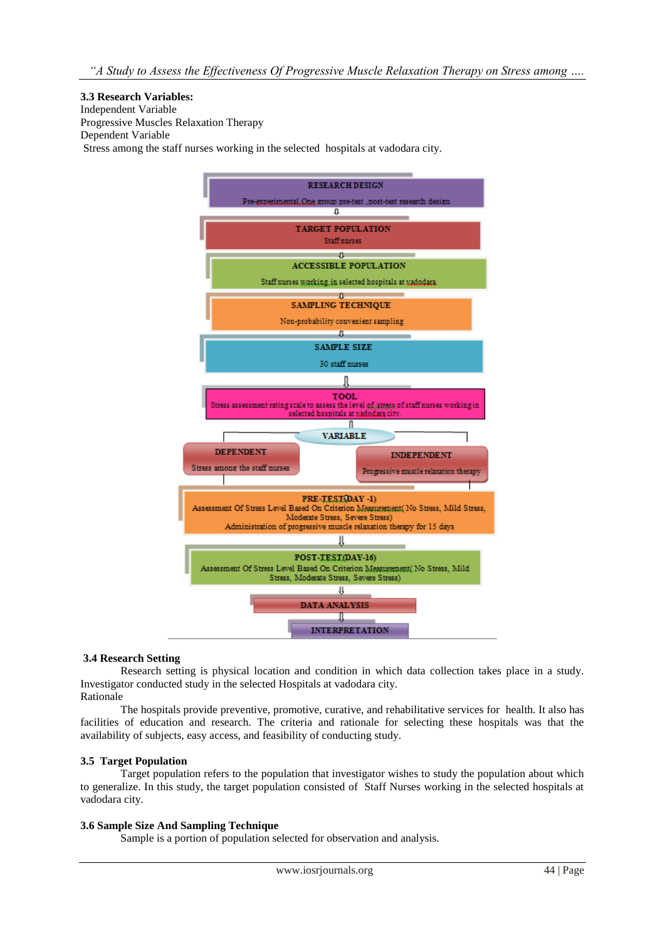## **3.3 Research Variables:**

Independent Variable Progressive Muscles Relaxation Therapy Dependent Variable Stress among the staff nurses working in the selected hospitals at vadodara city.



#### **3.4 Research Setting**

Research setting is physical location and condition in which data collection takes place in a study. Investigator conducted study in the selected Hospitals at vadodara city. Rationale

The hospitals provide preventive, promotive, curative, and rehabilitative services for health. It also has facilities of education and research. The criteria and rationale for selecting these hospitals was that the availability of subjects, easy access, and feasibility of conducting study.

#### **3.5 Target Population**

Target population refers to the population that investigator wishes to study the population about which to generalize. In this study, the target population consisted of Staff Nurses working in the selected hospitals at vadodara city.

## **3.6 Sample Size And Sampling Technique**

Sample is a portion of population selected for observation and analysis.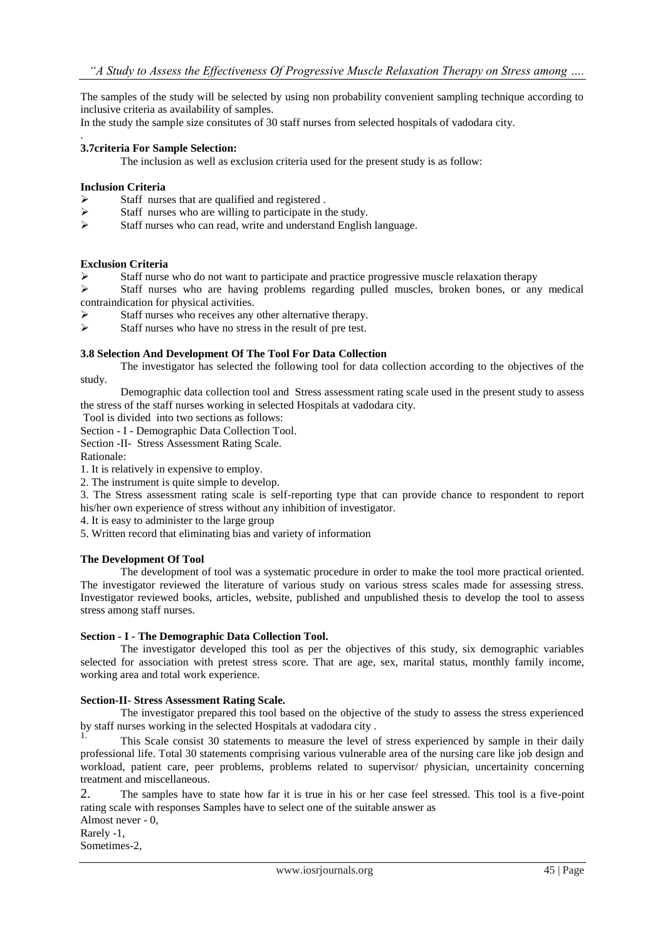The samples of the study will be selected by using non probability convenient sampling technique according to inclusive criteria as availability of samples.

In the study the sample size consitutes of 30 staff nurses from selected hospitals of vadodara city.

## **3.7criteria For Sample Selection:**

The inclusion as well as exclusion criteria used for the present study is as follow:

#### **Inclusion Criteria**

.

- Staff nurses that are qualified and registered .
- $\triangleright$  Staff nurses who are willing to participate in the study.
- $\triangleright$  Staff nurses who can read, write and understand English language.

#### **Exclusion Criteria**

Staff nurse who do not want to participate and practice progressive muscle relaxation therapy

 $\triangleright$  Staff nurses who are having problems regarding pulled muscles, broken bones, or any medical contraindication for physical activities.

- Staff nurses who receives any other alternative therapy.
- $\triangleright$  Staff nurses who have no stress in the result of pre test.

#### **3.8 Selection And Development Of The Tool For Data Collection**

The investigator has selected the following tool for data collection according to the objectives of the study.

Demographic data collection tool and Stress assessment rating scale used in the present study to assess the stress of the staff nurses working in selected Hospitals at vadodara city.

Tool is divided into two sections as follows:

Section - I - Demographic Data Collection Tool.

Section -II- Stress Assessment Rating Scale.

Rationale:

1. It is relatively in expensive to employ.

2. The instrument is quite simple to develop.

3. The Stress assessment rating scale is self-reporting type that can provide chance to respondent to report his/her own experience of stress without any inhibition of investigator.

4. It is easy to administer to the large group

5. Written record that eliminating bias and variety of information

#### **The Development Of Tool**

The development of tool was a systematic procedure in order to make the tool more practical oriented. The investigator reviewed the literature of various study on various stress scales made for assessing stress. Investigator reviewed books, articles, website, published and unpublished thesis to develop the tool to assess stress among staff nurses.

#### **Section - I - The Demographic Data Collection Tool.**

The investigator developed this tool as per the objectives of this study, six demographic variables selected for association with pretest stress score. That are age, sex, marital status, monthly family income, working area and total work experience.

#### **Section-II- Stress Assessment Rating Scale.**

The investigator prepared this tool based on the objective of the study to assess the stress experienced by staff nurses working in the selected Hospitals at vadodara city .

This Scale consist 30 statements to measure the level of stress experienced by sample in their daily professional life. Total 30 statements comprising various vulnerable area of the nursing care like job design and workload, patient care, peer problems, problems related to supervisor/ physician, uncertainity concerning treatment and miscellaneous.

2. The samples have to state how far it is true in his or her case feel stressed. This tool is a five-point rating scale with responses Samples have to select one of the suitable answer as

Almost never - 0, Rarely -1, Sometimes-2,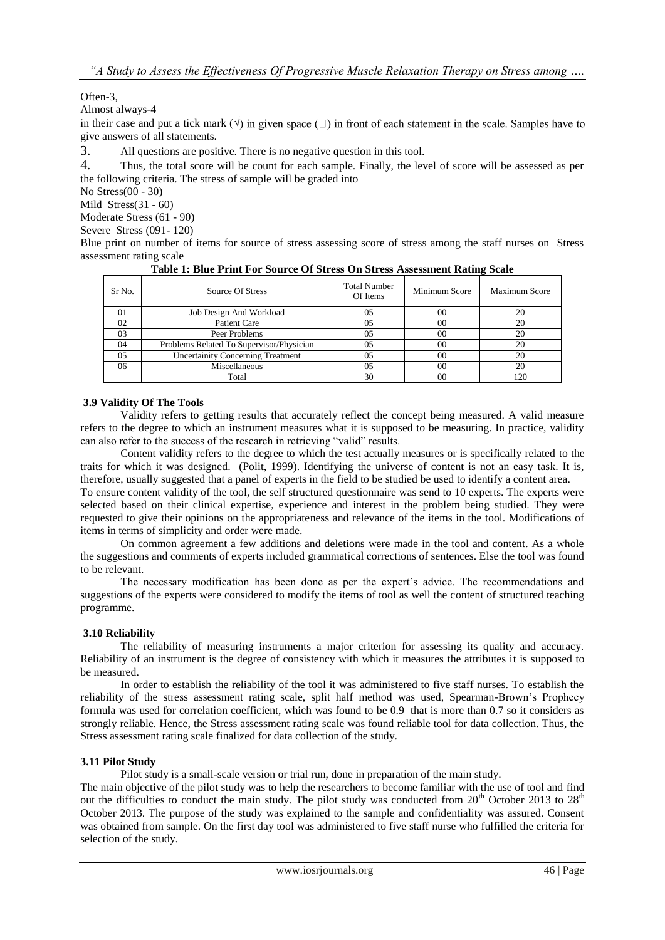Often-3,

Almost always-4

in their case and put a tick mark  $(\sqrt{})$  in given space  $(\square)$  in front of each statement in the scale. Samples have to give answers of all statements.

3. All questions are positive. There is no negative question in this tool.

4. Thus, the total score will be count for each sample. Finally, the level of score will be assessed as per the following criteria. The stress of sample will be graded into

No Stress(00 - 30)

Mild Stress(31 - 60) Moderate Stress (61 - 90)

Severe Stress (091- 120)

Blue print on number of items for source of stress assessing score of stress among the staff nurses on Stress assessment rating scale

| Table 1. Dhuc 1 fillt I of Bource Of Buless Off Buless Assessment Kathle Beare |                                          |                                 |               |                      |  |  |  |
|--------------------------------------------------------------------------------|------------------------------------------|---------------------------------|---------------|----------------------|--|--|--|
| Sr No.                                                                         | Source Of Stress                         | <b>Total Number</b><br>Of Items | Minimum Score | <b>Maximum Score</b> |  |  |  |
| $_{01}$                                                                        | Job Design And Workload                  | 05                              | 00            | 20                   |  |  |  |
| 02                                                                             | Patient Care                             | 05                              | 00            | 20                   |  |  |  |
| 03                                                                             | Peer Problems                            | 05                              | 00            | 20                   |  |  |  |
| 04                                                                             | Problems Related To Supervisor/Physician | 05                              | 00            | 20                   |  |  |  |
| 05                                                                             | <b>Uncertainity Concerning Treatment</b> | 05                              | 00            | 20                   |  |  |  |
| 06                                                                             | Miscellaneous                            | 05                              | 00            | 20                   |  |  |  |
|                                                                                | Total                                    | 30                              | 00            | 120                  |  |  |  |

**Table 1: Blue Print For Source Of Stress On Stress Assessment Rating Scale**

#### **3.9 Validity Of The Tools**

Validity refers to getting results that accurately reflect the concept being measured. A valid measure refers to the degree to which an instrument measures what it is supposed to be measuring. In practice, validity can also refer to the success of the research in retrieving "valid" results.

Content validity refers to the degree to which the test actually measures or is specifically related to the traits for which it was designed. (Polit, 1999). Identifying the universe of content is not an easy task. It is, therefore, usually suggested that a panel of experts in the field to be studied be used to identify a content area.

To ensure content validity of the tool, the self structured questionnaire was send to 10 experts. The experts were selected based on their clinical expertise, experience and interest in the problem being studied. They were requested to give their opinions on the appropriateness and relevance of the items in the tool. Modifications of items in terms of simplicity and order were made.

On common agreement a few additions and deletions were made in the tool and content. As a whole the suggestions and comments of experts included grammatical corrections of sentences. Else the tool was found to be relevant.

The necessary modification has been done as per the expert's advice. The recommendations and suggestions of the experts were considered to modify the items of tool as well the content of structured teaching programme.

#### **3.10 Reliability**

The reliability of measuring instruments a major criterion for assessing its quality and accuracy. Reliability of an instrument is the degree of consistency with which it measures the attributes it is supposed to be measured.

In order to establish the reliability of the tool it was administered to five staff nurses. To establish the reliability of the stress assessment rating scale, split half method was used, Spearman-Brown's Prophecy formula was used for correlation coefficient, which was found to be 0.9 that is more than 0.7 so it considers as strongly reliable. Hence, the Stress assessment rating scale was found reliable tool for data collection. Thus, the Stress assessment rating scale finalized for data collection of the study.

#### **3.11 Pilot Study**

Pilot study is a small-scale version or trial run, done in preparation of the main study.

The main objective of the pilot study was to help the researchers to become familiar with the use of tool and find out the difficulties to conduct the main study. The pilot study was conducted from  $20^{th}$  October 2013 to  $28^{th}$ October 2013. The purpose of the study was explained to the sample and confidentiality was assured. Consent was obtained from sample. On the first day tool was administered to five staff nurse who fulfilled the criteria for selection of the study.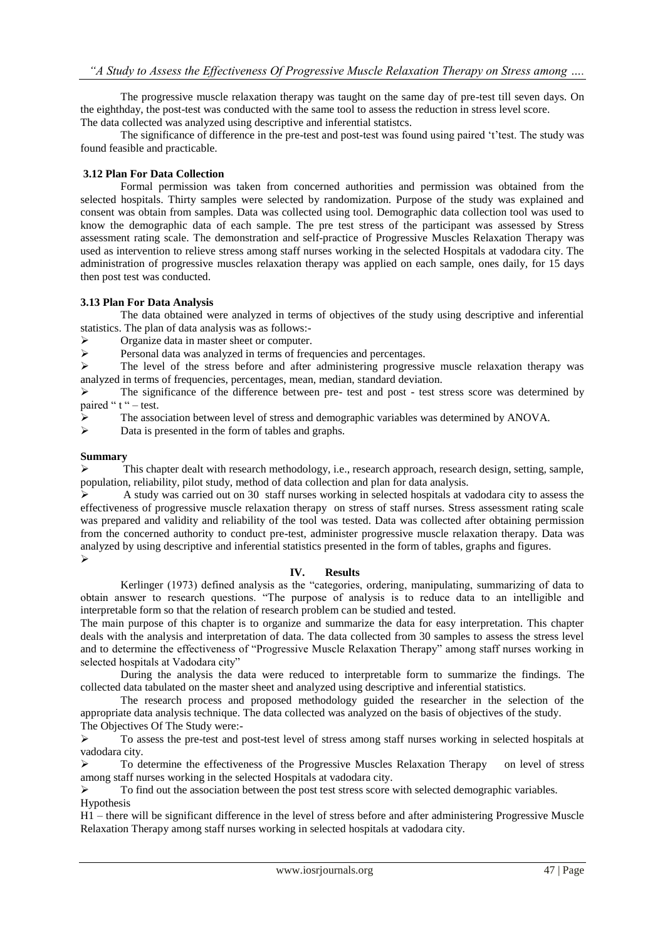The progressive muscle relaxation therapy was taught on the same day of pre-test till seven days. On the eighthday, the post-test was conducted with the same tool to assess the reduction in stress level score. The data collected was analyzed using descriptive and inferential statistcs.

The significance of difference in the pre-test and post-test was found using paired 't'test. The study was found feasible and practicable.

## **3.12 Plan For Data Collection**

Formal permission was taken from concerned authorities and permission was obtained from the selected hospitals. Thirty samples were selected by randomization. Purpose of the study was explained and consent was obtain from samples. Data was collected using tool. Demographic data collection tool was used to know the demographic data of each sample. The pre test stress of the participant was assessed by Stress assessment rating scale. The demonstration and self-practice of Progressive Muscles Relaxation Therapy was used as intervention to relieve stress among staff nurses working in the selected Hospitals at vadodara city. The administration of progressive muscles relaxation therapy was applied on each sample, ones daily, for 15 days then post test was conducted.

## **3.13 Plan For Data Analysis**

The data obtained were analyzed in terms of objectives of the study using descriptive and inferential statistics. The plan of data analysis was as follows:-

 $\triangleright$  Organize data in master sheet or computer.

Personal data was analyzed in terms of frequencies and percentages.

 $\triangleright$  The level of the stress before and after administering progressive muscle relaxation therapy was analyzed in terms of frequencies, percentages, mean, median, standard deviation.

 $\triangleright$  The significance of the difference between pre- test and post - test stress score was determined by paired " $t$ " – test.

The association between level of stress and demographic variables was determined by ANOVA.

 $\triangleright$  Data is presented in the form of tables and graphs.

#### **Summary**

 $\triangleright$  This chapter dealt with research methodology, i.e., research approach, research design, setting, sample, population, reliability, pilot study, method of data collection and plan for data analysis.

 A study was carried out on 30 staff nurses working in selected hospitals at vadodara city to assess the effectiveness of progressive muscle relaxation therapy on stress of staff nurses. Stress assessment rating scale was prepared and validity and reliability of the tool was tested. Data was collected after obtaining permission from the concerned authority to conduct pre-test, administer progressive muscle relaxation therapy. Data was analyzed by using descriptive and inferential statistics presented in the form of tables, graphs and figures.  $\triangleright$ 

#### **IV. Results**

Kerlinger (1973) defined analysis as the "categories, ordering, manipulating, summarizing of data to obtain answer to research questions. "The purpose of analysis is to reduce data to an intelligible and interpretable form so that the relation of research problem can be studied and tested.

The main purpose of this chapter is to organize and summarize the data for easy interpretation. This chapter deals with the analysis and interpretation of data. The data collected from 30 samples to assess the stress level and to determine the effectiveness of "Progressive Muscle Relaxation Therapy" among staff nurses working in selected hospitals at Vadodara city"

During the analysis the data were reduced to interpretable form to summarize the findings. The collected data tabulated on the master sheet and analyzed using descriptive and inferential statistics.

The research process and proposed methodology guided the researcher in the selection of the appropriate data analysis technique. The data collected was analyzed on the basis of objectives of the study. The Objectives Of The Study were:-

 To assess the pre-test and post-test level of stress among staff nurses working in selected hospitals at vadodara city.

 To determine the effectiveness of the Progressive Muscles Relaxation Therapy on level of stress among staff nurses working in the selected Hospitals at vadodara city.

 To find out the association between the post test stress score with selected demographic variables. Hypothesis

H1 – there will be significant difference in the level of stress before and after administering Progressive Muscle Relaxation Therapy among staff nurses working in selected hospitals at vadodara city.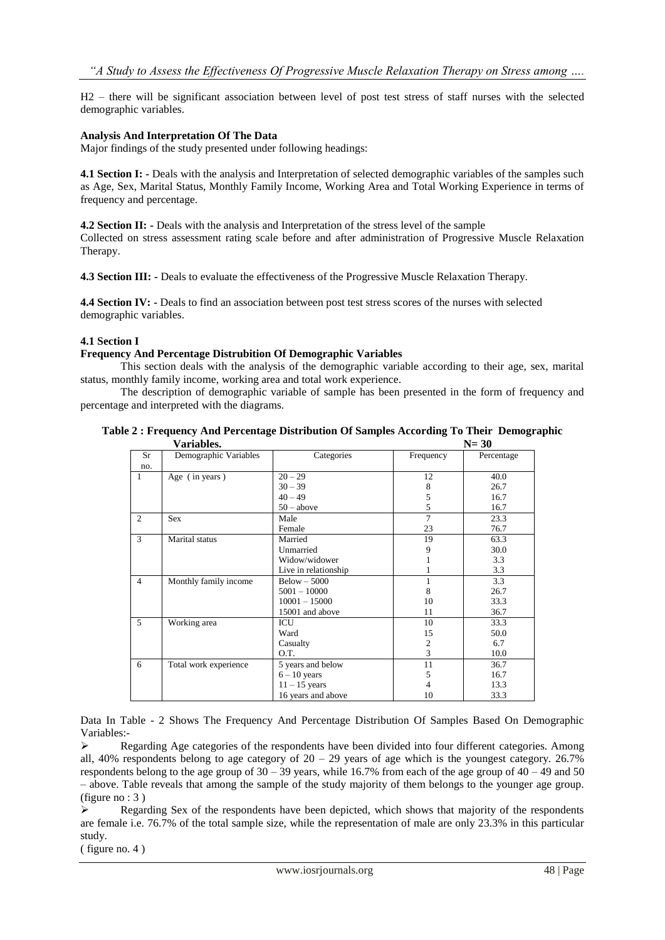H2 – there will be significant association between level of post test stress of staff nurses with the selected demographic variables.

#### **Analysis And Interpretation Of The Data**

Major findings of the study presented under following headings:

**4.1 Section I: -** Deals with the analysis and Interpretation of selected demographic variables of the samples such as Age, Sex, Marital Status, Monthly Family Income, Working Area and Total Working Experience in terms of frequency and percentage.

**4.2 Section II:** - Deals with the analysis and Interpretation of the stress level of the sample Collected on stress assessment rating scale before and after administration of Progressive Muscle Relaxation Therapy.

**4.3 Section III: -** Deals to evaluate the effectiveness of the Progressive Muscle Relaxation Therapy.

**4.4 Section IV: -** Deals to find an association between post test stress scores of the nurses with selected demographic variables.

#### **4.1 Section I**

#### **Frequency And Percentage Distrubition Of Demographic Variables**

This section deals with the analysis of the demographic variable according to their age, sex, marital status, monthly family income, working area and total work experience.

The description of demographic variable of sample has been presented in the form of frequency and percentage and interpreted with the diagrams.

| Table 2 : Frequency And Percentage Distribution Of Samples According To Their Demographic |          |  |
|-------------------------------------------------------------------------------------------|----------|--|
| Variables.                                                                                | $N = 30$ |  |

|                | v aliadics.<br>$11 - 30$ |                      |                |            |  |  |
|----------------|--------------------------|----------------------|----------------|------------|--|--|
| <b>Sr</b>      | Demographic Variables    | Categories           | Frequency      | Percentage |  |  |
| no.            |                          |                      |                |            |  |  |
| 1              | Age (in years)           | $20 - 29$            | 12             | 40.0       |  |  |
|                |                          | $30 - 39$            | 8              | 26.7       |  |  |
|                |                          | $40 - 49$            | 5              | 16.7       |  |  |
|                |                          | $50 - above$         | 5              | 16.7       |  |  |
| 2              | <b>Sex</b>               | Male                 | 7              | 23.3       |  |  |
|                |                          | Female               | 23             | 76.7       |  |  |
| 3              | Marital status           | Married              | 19             | 63.3       |  |  |
|                |                          | Unmarried            | 9              | 30.0       |  |  |
|                |                          | Widow/widower        |                | 3.3        |  |  |
|                |                          | Live in relationship |                | 3.3        |  |  |
| $\overline{4}$ | Monthly family income    | $Below - 5000$       |                | 3.3        |  |  |
|                |                          | $5001 - 10000$       | 8              | 26.7       |  |  |
|                |                          | $10001 - 15000$      | 10             | 33.3       |  |  |
|                |                          | 15001 and above      | 11             | 36.7       |  |  |
| 5              | Working area             | ICU                  | 10             | 33.3       |  |  |
|                |                          | Ward                 | 15             | 50.0       |  |  |
|                |                          | Casualty             | $\overline{c}$ | 6.7        |  |  |
|                |                          | O.T.                 | 3              | 10.0       |  |  |
| 6              | Total work experience    | 5 years and below    | 11             | 36.7       |  |  |
|                |                          | $6 - 10$ years       | 5              | 16.7       |  |  |
|                |                          | $11 - 15$ years      | 4              | 13.3       |  |  |
|                |                          | 16 years and above   | 10             | 33.3       |  |  |

Data In Table - 2 Shows The Frequency And Percentage Distribution Of Samples Based On Demographic Variables:-

 $\triangleright$  Regarding Age categories of the respondents have been divided into four different categories. Among all, 40% respondents belong to age category of  $20 - 29$  years of age which is the youngest category. 26.7% respondents belong to the age group of  $30 - 39$  years, while 16.7% from each of the age group of  $40 - 49$  and  $50$ – above. Table reveals that among the sample of the study majority of them belongs to the younger age group. (figure no : 3 )

 $\triangleright$  Regarding Sex of the respondents have been depicted, which shows that majority of the respondents are female i.e. 76.7% of the total sample size, while the representation of male are only 23.3% in this particular study.

( figure no. 4 )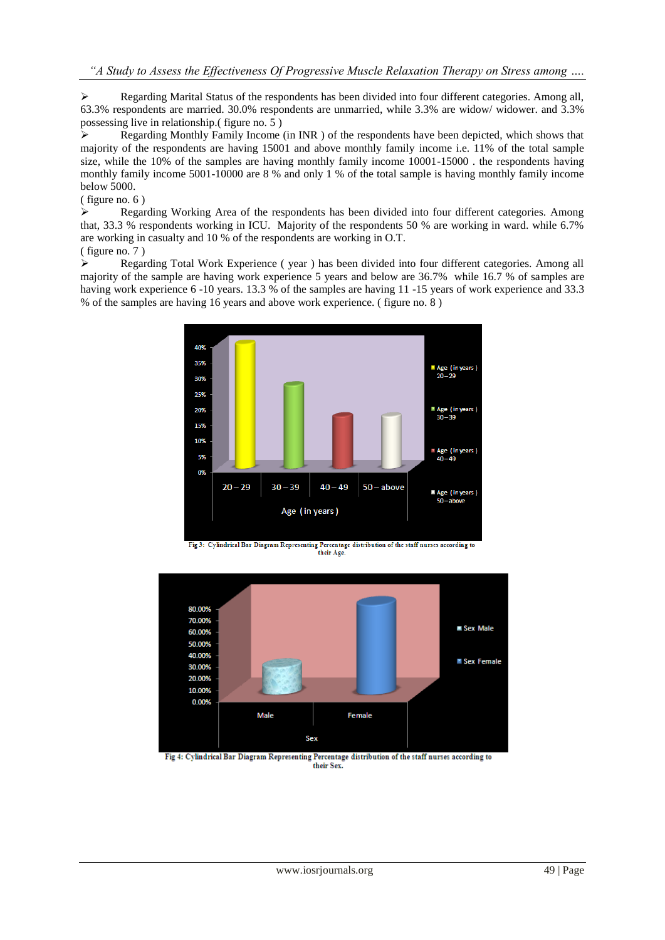Regarding Marital Status of the respondents has been divided into four different categories. Among all, 63.3% respondents are married. 30.0% respondents are unmarried, while 3.3% are widow/ widower. and 3.3% possessing live in relationship.(figure no.  $\overline{5}$ )

 Regarding Monthly Family Income (in INR ) of the respondents have been depicted, which shows that majority of the respondents are having 15001 and above monthly family income i.e. 11% of the total sample size, while the 10% of the samples are having monthly family income 10001-15000 . the respondents having monthly family income 5001-10000 are 8 % and only 1 % of the total sample is having monthly family income below 5000.

( figure no. 6 )

 Regarding Working Area of the respondents has been divided into four different categories. Among that, 33.3 % respondents working in ICU. Majority of the respondents 50 % are working in ward. while 6.7% are working in casualty and 10 % of the respondents are working in O.T.

( figure no. 7 )

 Regarding Total Work Experience ( year ) has been divided into four different categories. Among all majority of the sample are having work experience 5 years and below are 36.7% while 16.7 % of samples are having work experience 6 -10 years. 13.3 % of the samples are having 11 -15 years of work experience and 33.3 % of the samples are having 16 years and above work experience. ( figure no. 8 )



Fig 3: Cylindrical Bar Diagram Representing Percentage distribution of the staff nurses according to their Age.



Fig 4: Cylindrical Bar Diagram Representing Percentage distribution of the staff nurses according to their Sex.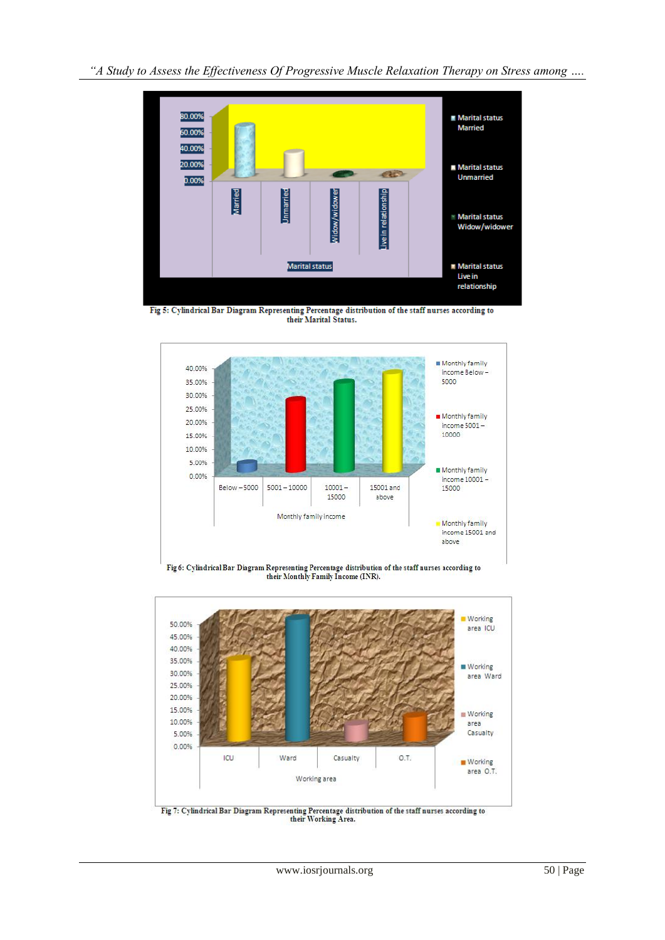

Fig 5: Cylindrical Bar Diagram Representing Percentage distribution of the staff nurses according to their Marital Status.



Fig 6: Cylindrical Bar Diagram Representing Percentage distribution of the staff nurses according to their Monthly Family Income (INR).

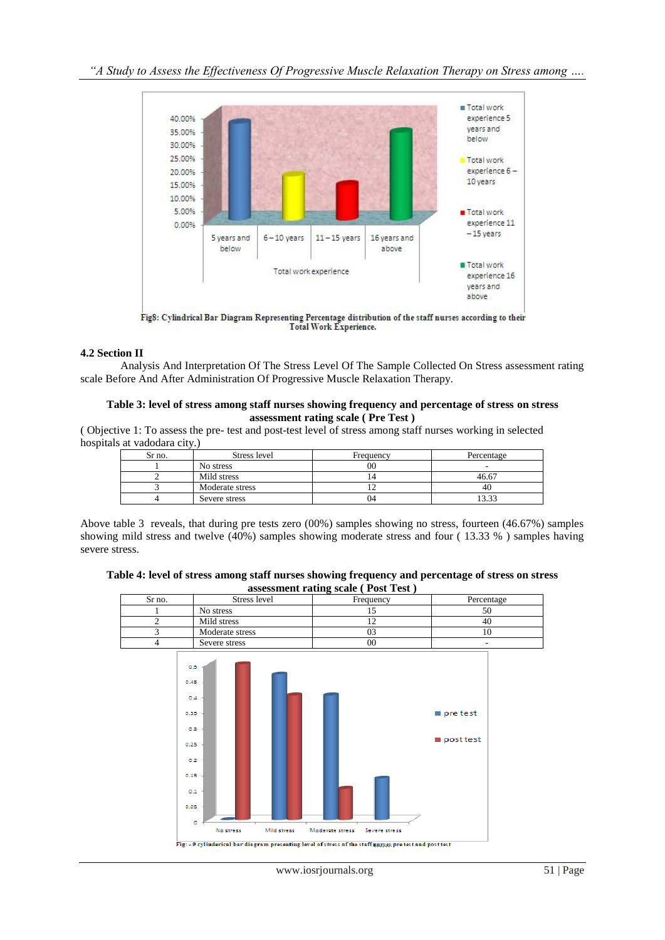

**Total Work Experience.** 

## **4.2 Section II**

Analysis And Interpretation Of The Stress Level Of The Sample Collected On Stress assessment rating scale Before And After Administration Of Progressive Muscle Relaxation Therapy.

#### **Table 3: level of stress among staff nurses showing frequency and percentage of stress on stress assessment rating scale ( Pre Test )**

( Objective 1: To assess the pre- test and post-test level of stress among staff nurses working in selected hospitals at vadodara city.)

| Sr no. | Stress level    | Frequency | Percentage |
|--------|-----------------|-----------|------------|
|        | No stress       | $^{00}$   |            |
|        | Mild stress     |           | 46.67      |
|        | Moderate stress |           | 41.        |
|        | Severe stress   | 04        | 1222       |

Above table 3 reveals, that during pre tests zero (00%) samples showing no stress, fourteen (46.67%) samples showing mild stress and twelve (40%) samples showing moderate stress and four ( 13.33 % ) samples having severe stress.

**Table 4: level of stress among staff nurses showing frequency and percentage of stress on stress assessment rating scale ( Post Test )**

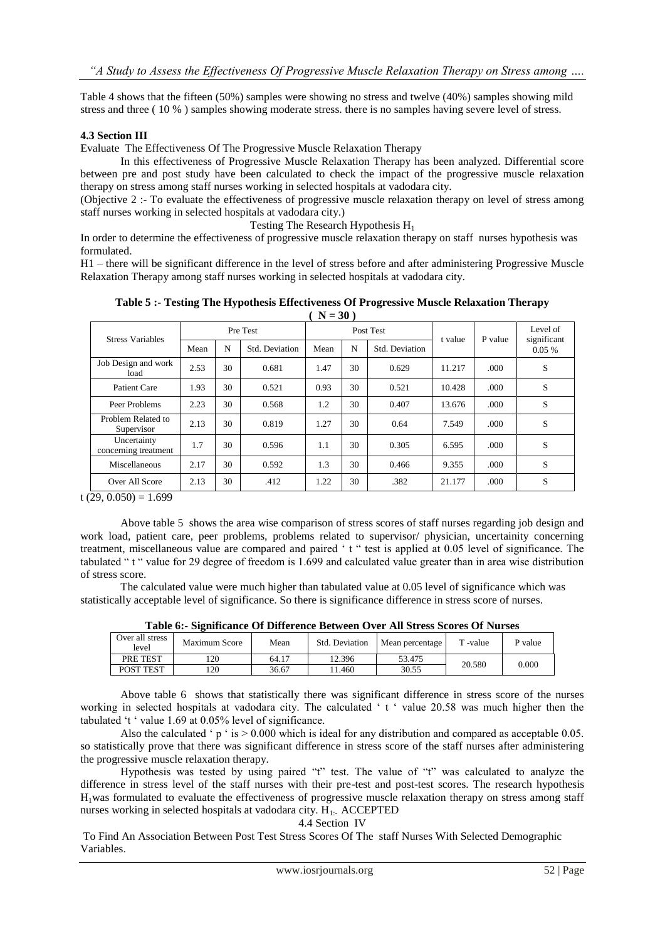Table 4 shows that the fifteen (50%) samples were showing no stress and twelve (40%) samples showing mild stress and three ( 10 % ) samples showing moderate stress. there is no samples having severe level of stress.

#### **4.3 Section III**

Evaluate The Effectiveness Of The Progressive Muscle Relaxation Therapy

In this effectiveness of Progressive Muscle Relaxation Therapy has been analyzed. Differential score between pre and post study have been calculated to check the impact of the progressive muscle relaxation therapy on stress among staff nurses working in selected hospitals at vadodara city.

(Objective 2 :- To evaluate the effectiveness of progressive muscle relaxation therapy on level of stress among staff nurses working in selected hospitals at vadodara city.)

Testing The Research Hypothesis H<sub>1</sub>

In order to determine the effectiveness of progressive muscle relaxation therapy on staff nurses hypothesis was formulated.

H1 – there will be significant difference in the level of stress before and after administering Progressive Muscle Relaxation Therapy among staff nurses working in selected hospitals at vadodara city.

| $\cdots$                            |          |    |                |      |         |                |                         |      |          |
|-------------------------------------|----------|----|----------------|------|---------|----------------|-------------------------|------|----------|
| <b>Stress Variables</b>             | Pre Test |    | Post Test      |      | t value | P value        | Level of<br>significant |      |          |
|                                     | Mean     | N  | Std. Deviation | Mean | N       | Std. Deviation |                         |      | $0.05\%$ |
| Job Design and work<br>load         | 2.53     | 30 | 0.681          | 1.47 | 30      | 0.629          | 11.217                  | .000 | S        |
| Patient Care                        | 1.93     | 30 | 0.521          | 0.93 | 30      | 0.521          | 10.428                  | .000 | S        |
| Peer Problems                       | 2.23     | 30 | 0.568          | 1.2  | 30      | 0.407          | 13.676                  | .000 | S        |
| Problem Related to<br>Supervisor    | 2.13     | 30 | 0.819          | 1.27 | 30      | 0.64           | 7.549                   | .000 | S        |
| Uncertainty<br>concerning treatment | 1.7      | 30 | 0.596          | 1.1  | 30      | 0.305          | 6.595                   | .000 | S        |
| Miscellaneous                       | 2.17     | 30 | 0.592          | 1.3  | 30      | 0.466          | 9.355                   | .000 | S        |
| Over All Score                      | 2.13     | 30 | .412           | 1.22 | 30      | .382           | 21.177                  | .000 | S        |

**Table 5 :- Testing The Hypothesis Effectiveness Of Progressive Muscle Relaxation Therapy ( N = 30 )**

 $t(29, 0.050) = 1.699$ 

Above table 5 shows the area wise comparison of stress scores of staff nurses regarding job design and work load, patient care, peer problems, problems related to supervisor/ physician, uncertainity concerning treatment, miscellaneous value are compared and paired 't " test is applied at 0.05 level of significance. The tabulated "t " value for 29 degree of freedom is 1.699 and calculated value greater than in area wise distribution of stress score.

The calculated value were much higher than tabulated value at 0.05 level of significance which was statistically acceptable level of significance. So there is significance difference in stress score of nurses.

|                          | THEFT A<br>biginitume of Dhierence Derween O fer Tin biress beores Of Funses |       |                |                 |          |         |  |  |  |
|--------------------------|------------------------------------------------------------------------------|-------|----------------|-----------------|----------|---------|--|--|--|
| Over all stress<br>level | Maximum Score                                                                | Mean  | Std. Deviation | Mean percentage | T -value | P value |  |  |  |
| PRE TEST                 | 120                                                                          | 64.17 | 12.396         | 53.475          | 20.580   | 0.000   |  |  |  |
| <b>POST TEST</b>         | 120                                                                          | 36.67 | 1.460          | 30.55           |          |         |  |  |  |

**Table 6:- Significance Of Difference Between Over All Stress Scores Of Nurses**

Above table 6 shows that statistically there was significant difference in stress score of the nurses working in selected hospitals at vadodara city. The calculated 't' value 20.58 was much higher then the tabulated 't ' value 1.69 at 0.05% level of significance.

Also the calculated  $\degree$  p  $\degree$  is  $> 0.000$  which is ideal for any distribution and compared as acceptable 0.05. so statistically prove that there was significant difference in stress score of the staff nurses after administering the progressive muscle relaxation therapy.

Hypothesis was tested by using paired "t" test. The value of "t" was calculated to analyze the difference in stress level of the staff nurses with their pre-test and post-test scores. The research hypothesis H1was formulated to evaluate the effectiveness of progressive muscle relaxation therapy on stress among staff nurses working in selected hospitals at vadodara city. H1:- ACCEPTED

#### 4.4 Section IV

To Find An Association Between Post Test Stress Scores Of The staff Nurses With Selected Demographic Variables.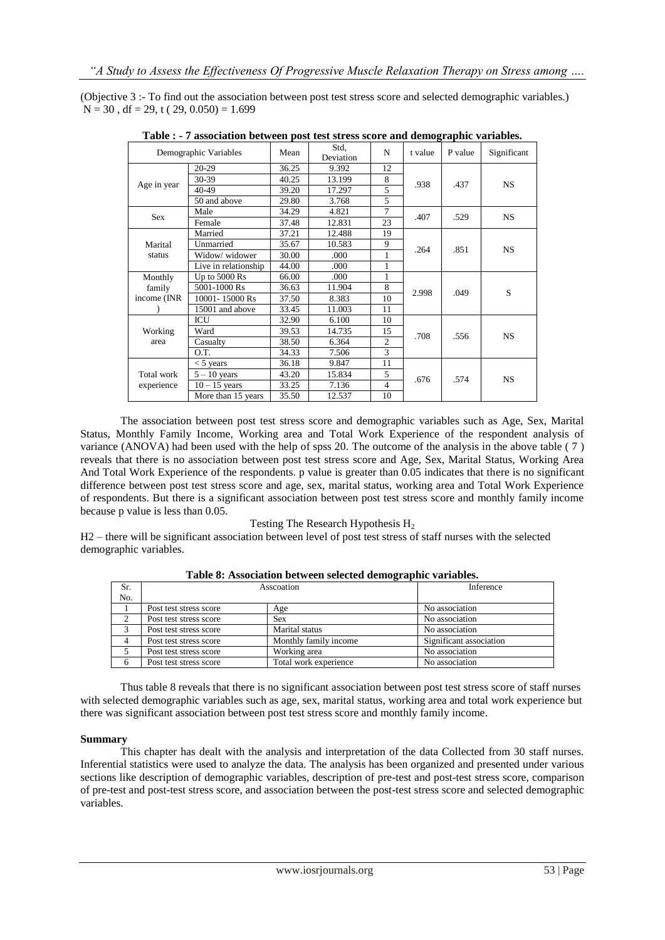(Objective 3 :- To find out the association between post test stress score and selected demographic variables.)  $N = 30$ , df = 29, t ( 29, 0.050) = 1.699

| Demographic Variables |                      | Mean  | Std.<br>Deviation | N              | t value | P value | Significant |
|-----------------------|----------------------|-------|-------------------|----------------|---------|---------|-------------|
|                       | $20-29$              | 36.25 | 9.392             | 12             |         |         |             |
|                       | 30-39                | 40.25 | 13.199            | 8              |         | .437    | <b>NS</b>   |
| Age in year           | 40-49                | 39.20 | 17.297            | 5              | .938    |         |             |
|                       | 50 and above         | 29.80 | 3.768             | 5              |         |         |             |
| Sex                   | Male                 | 34.29 | 4.821             | 7              | .407    | .529    | <b>NS</b>   |
|                       | Female               | 37.48 | 12.831            | 23             |         |         |             |
|                       | Married              | 37.21 | 12.488            | 19             |         |         |             |
| Marital               | Unmarried            | 35.67 | 10.583            | 9              | .264    | .851    | <b>NS</b>   |
| status                | Widow/ widower       | 30.00 | .000              | 1              |         |         |             |
|                       | Live in relationship | 44.00 | .000              | $\mathbf{1}$   |         |         |             |
| Monthly               | Up to $5000$ Rs      | 66.00 | .000              | 1              |         |         |             |
| family                | 5001-1000 Rs         | 36.63 | 11.904            | 8              | 2.998   | .049    | S           |
| income (INR)          | 10001-15000 Rs       | 37.50 | 8.383             | 10             |         |         |             |
|                       | 15001 and above      | 33.45 | 11.003            | 11             |         |         |             |
|                       | ICU                  | 32.90 | 6.100             | 10             |         |         |             |
| Working               | Ward                 | 39.53 | 14.735            | 15             | .708    |         | <b>NS</b>   |
| area                  | Casualty             | 38.50 | 6.364             | $\overline{c}$ |         | .556    |             |
|                       | O.T.                 | 34.33 | 7.506             | 3              |         |         |             |
|                       | $<$ 5 years          | 36.18 | 9.847             | 11             |         |         |             |
| Total work            | $5 - 10$ years       | 43.20 | 15.834            | 5              |         | .574    | <b>NS</b>   |
| experience            | $10 - 15$ years      | 33.25 | 7.136             | $\overline{4}$ |         | .676    |             |
|                       | More than 15 years   | 35.50 | 12.537            | 10             |         |         |             |

**Table : - 7 association between post test stress score and demographic variables.**

The association between post test stress score and demographic variables such as Age, Sex, Marital Status, Monthly Family Income, Working area and Total Work Experience of the respondent analysis of variance (ANOVA) had been used with the help of spss 20. The outcome of the analysis in the above table ( 7 ) reveals that there is no association between post test stress score and Age, Sex, Marital Status, Working Area And Total Work Experience of the respondents. p value is greater than 0.05 indicates that there is no significant difference between post test stress score and age, sex, marital status, working area and Total Work Experience of respondents. But there is a significant association between post test stress score and monthly family income because p value is less than 0.05.

#### Testing The Research Hypothesis  $H_2$

H2 – there will be significant association between level of post test stress of staff nurses with the selected demographic variables.

| Sr. | Asscoation             | Inference             |                         |
|-----|------------------------|-----------------------|-------------------------|
| No. |                        |                       |                         |
|     | Post test stress score | Age                   | No association          |
| 2   | Post test stress score | <b>Sex</b>            | No association          |
| 3   | Post test stress score | Marital status        | No association          |
|     | Post test stress score | Monthly family income | Significant association |
|     | Post test stress score | Working area          | No association          |
|     | Post test stress score | Total work experience | No association          |

**Table 8: Association between selected demographic variables.**

Thus table 8 reveals that there is no significant association between post test stress score of staff nurses with selected demographic variables such as age, sex, marital status, working area and total work experience but there was significant association between post test stress score and monthly family income.

#### **Summary**

This chapter has dealt with the analysis and interpretation of the data Collected from 30 staff nurses. Inferential statistics were used to analyze the data. The analysis has been organized and presented under various sections like description of demographic variables, description of pre-test and post-test stress score, comparison of pre-test and post-test stress score, and association between the post-test stress score and selected demographic variables.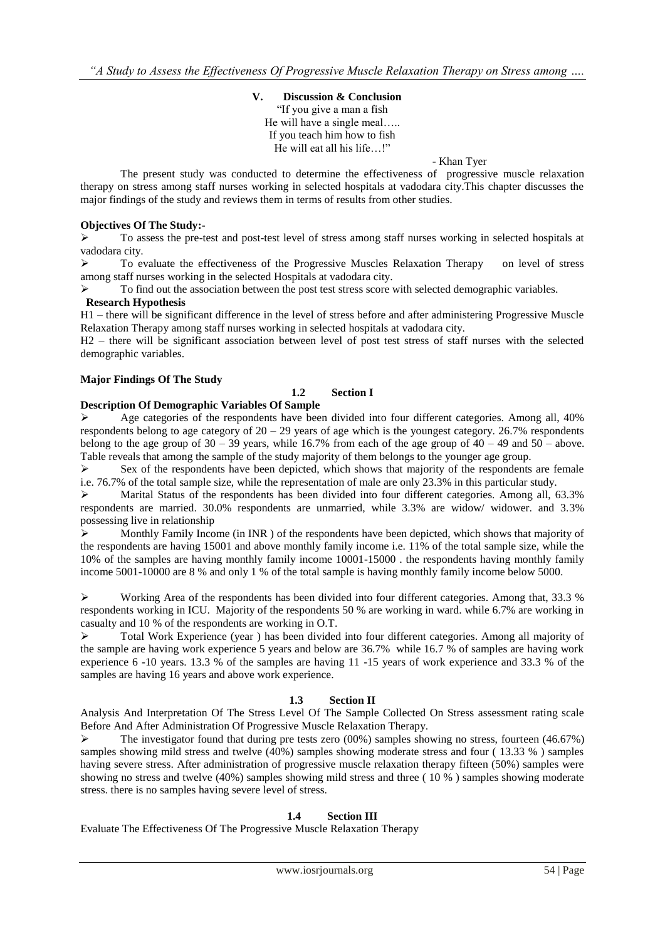**V. Discussion & Conclusion** "If you give a man a fish" He will have a single meal….. If you teach him how to fish He will eat all his life...!"

#### - Khan Tyer

The present study was conducted to determine the effectiveness of progressive muscle relaxation therapy on stress among staff nurses working in selected hospitals at vadodara city.This chapter discusses the major findings of the study and reviews them in terms of results from other studies.

## **Objectives Of The Study:-**

 To assess the pre-test and post-test level of stress among staff nurses working in selected hospitals at vadodara city.

 To evaluate the effectiveness of the Progressive Muscles Relaxation Therapy on level of stress among staff nurses working in the selected Hospitals at vadodara city.

 To find out the association between the post test stress score with selected demographic variables. **Research Hypothesis**

## H1 – there will be significant difference in the level of stress before and after administering Progressive Muscle Relaxation Therapy among staff nurses working in selected hospitals at vadodara city.

H2 – there will be significant association between level of post test stress of staff nurses with the selected demographic variables.

## **Major Findings Of The Study**

## **1.2 Section I**

#### **Description Of Demographic Variables Of Sample**

 Age categories of the respondents have been divided into four different categories. Among all, 40% respondents belong to age category of 20 – 29 years of age which is the youngest category. 26.7% respondents belong to the age group of  $30 - 39$  years, while 16.7% from each of the age group of  $40 - 49$  and  $50 -$  above. Table reveals that among the sample of the study majority of them belongs to the younger age group.

 $\triangleright$  Sex of the respondents have been depicted, which shows that majority of the respondents are female i.e. 76.7% of the total sample size, while the representation of male are only 23.3% in this particular study.

 $\triangleright$  Marital Status of the respondents has been divided into four different categories. Among all, 63.3% respondents are married. 30.0% respondents are unmarried, while 3.3% are widow/ widower. and 3.3% possessing live in relationship

 $\triangleright$  Monthly Family Income (in INR) of the respondents have been depicted, which shows that majority of the respondents are having 15001 and above monthly family income i.e. 11% of the total sample size, while the 10% of the samples are having monthly family income 10001-15000 . the respondents having monthly family income 5001-10000 are 8 % and only 1 % of the total sample is having monthly family income below 5000.

 $\triangleright$  Working Area of the respondents has been divided into four different categories. Among that, 33.3 % respondents working in ICU. Majority of the respondents 50 % are working in ward. while 6.7% are working in casualty and 10 % of the respondents are working in O.T.

 $\triangleright$  Total Work Experience (year) has been divided into four different categories. Among all majority of the sample are having work experience 5 years and below are 36.7% while 16.7 % of samples are having work experience 6 -10 years. 13.3 % of the samples are having 11 -15 years of work experience and 33.3 % of the samples are having 16 years and above work experience.

#### **1.3 Section II**

Analysis And Interpretation Of The Stress Level Of The Sample Collected On Stress assessment rating scale Before And After Administration Of Progressive Muscle Relaxation Therapy.

 The investigator found that during pre tests zero (00%) samples showing no stress, fourteen (46.67%) samples showing mild stress and twelve (40%) samples showing moderate stress and four ( 13.33 % ) samples having severe stress. After administration of progressive muscle relaxation therapy fifteen (50%) samples were showing no stress and twelve (40%) samples showing mild stress and three ( 10 % ) samples showing moderate stress. there is no samples having severe level of stress.

## **1.4 Section III**

Evaluate The Effectiveness Of The Progressive Muscle Relaxation Therapy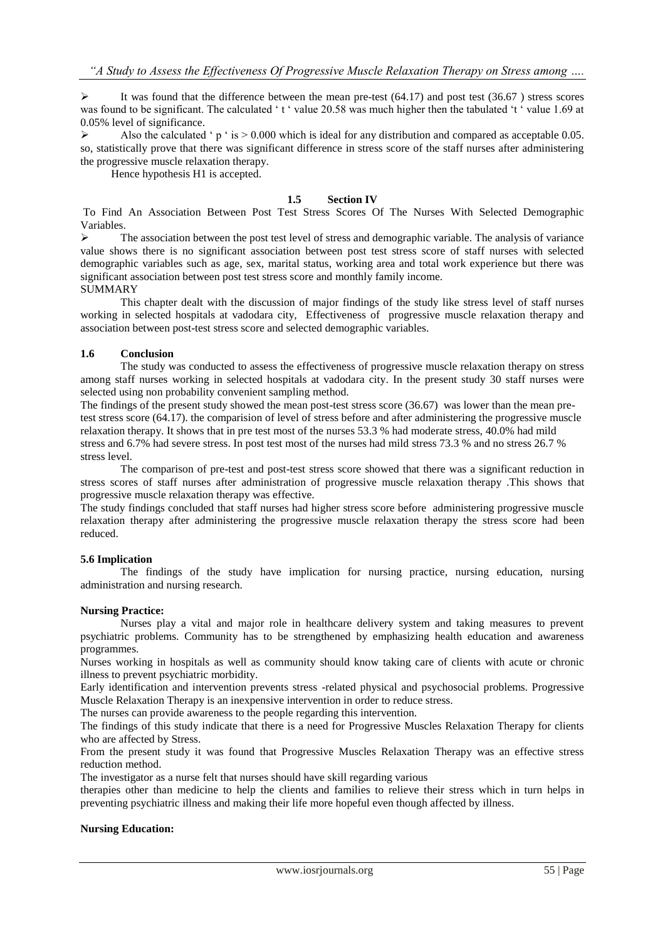$\triangleright$  It was found that the difference between the mean pre-test (64.17) and post test (36.67) stress scores was found to be significant. The calculated  $\pm \pm \infty$  value 20.58 was much higher then the tabulated  $\pm \pm \infty$  value 1.69 at 0.05% level of significance.

Also the calculated  $\degree$  p  $\degree$  is  $> 0.000$  which is ideal for any distribution and compared as acceptable 0.05. so, statistically prove that there was significant difference in stress score of the staff nurses after administering the progressive muscle relaxation therapy.

Hence hypothesis H1 is accepted.

## **1.5 Section IV**

To Find An Association Between Post Test Stress Scores Of The Nurses With Selected Demographic Variables.

 The association between the post test level of stress and demographic variable. The analysis of variance value shows there is no significant association between post test stress score of staff nurses with selected demographic variables such as age, sex, marital status, working area and total work experience but there was significant association between post test stress score and monthly family income.

#### SUMMARY

This chapter dealt with the discussion of major findings of the study like stress level of staff nurses working in selected hospitals at vadodara city, Effectiveness of progressive muscle relaxation therapy and association between post-test stress score and selected demographic variables.

#### **1.6 Conclusion**

The study was conducted to assess the effectiveness of progressive muscle relaxation therapy on stress among staff nurses working in selected hospitals at vadodara city. In the present study 30 staff nurses were selected using non probability convenient sampling method.

The findings of the present study showed the mean post-test stress score (36.67) was lower than the mean pretest stress score (64.17). the comparision of level of stress before and after administering the progressive muscle relaxation therapy. It shows that in pre test most of the nurses 53.3 % had moderate stress, 40.0% had mild stress and 6.7% had severe stress. In post test most of the nurses had mild stress 73.3 % and no stress 26.7 % stress level.

The comparison of pre-test and post-test stress score showed that there was a significant reduction in stress scores of staff nurses after administration of progressive muscle relaxation therapy .This shows that progressive muscle relaxation therapy was effective.

The study findings concluded that staff nurses had higher stress score before administering progressive muscle relaxation therapy after administering the progressive muscle relaxation therapy the stress score had been reduced.

#### **5.6 Implication**

The findings of the study have implication for nursing practice, nursing education, nursing administration and nursing research.

#### **Nursing Practice:**

Nurses play a vital and major role in healthcare delivery system and taking measures to prevent psychiatric problems. Community has to be strengthened by emphasizing health education and awareness programmes.

Nurses working in hospitals as well as community should know taking care of clients with acute or chronic illness to prevent psychiatric morbidity.

Early identification and intervention prevents stress -related physical and psychosocial problems. Progressive Muscle Relaxation Therapy is an inexpensive intervention in order to reduce stress.

The nurses can provide awareness to the people regarding this intervention.

The findings of this study indicate that there is a need for Progressive Muscles Relaxation Therapy for clients who are affected by Stress.

From the present study it was found that Progressive Muscles Relaxation Therapy was an effective stress reduction method.

The investigator as a nurse felt that nurses should have skill regarding various

therapies other than medicine to help the clients and families to relieve their stress which in turn helps in preventing psychiatric illness and making their life more hopeful even though affected by illness.

## **Nursing Education:**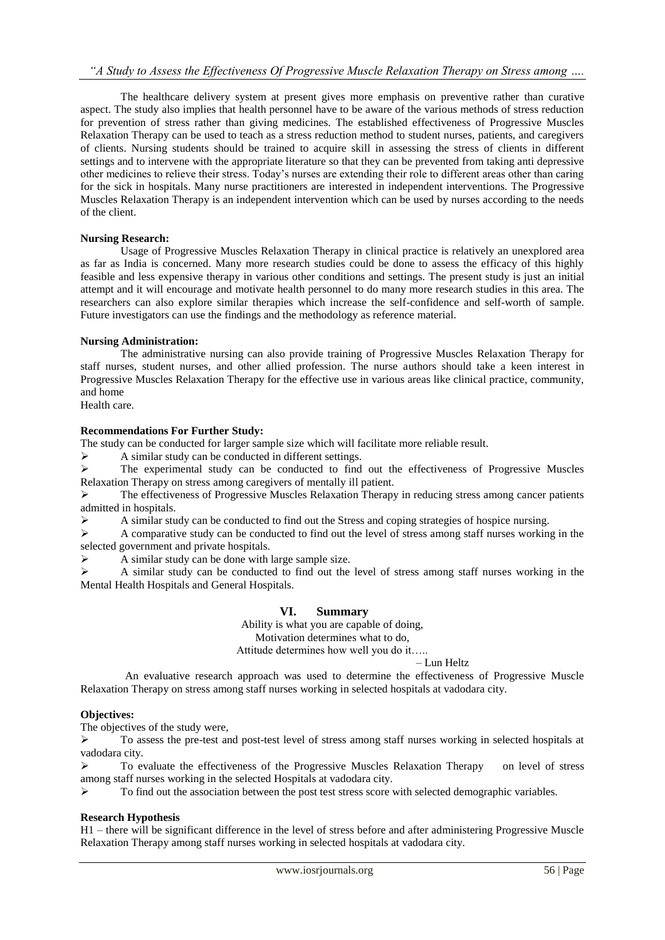The healthcare delivery system at present gives more emphasis on preventive rather than curative aspect. The study also implies that health personnel have to be aware of the various methods of stress reduction for prevention of stress rather than giving medicines. The established effectiveness of Progressive Muscles Relaxation Therapy can be used to teach as a stress reduction method to student nurses, patients, and caregivers of clients. Nursing students should be trained to acquire skill in assessing the stress of clients in different settings and to intervene with the appropriate literature so that they can be prevented from taking anti depressive other medicines to relieve their stress. Today's nurses are extending their role to different areas other than caring for the sick in hospitals. Many nurse practitioners are interested in independent interventions. The Progressive Muscles Relaxation Therapy is an independent intervention which can be used by nurses according to the needs of the client.

## **Nursing Research:**

Usage of Progressive Muscles Relaxation Therapy in clinical practice is relatively an unexplored area as far as India is concerned. Many more research studies could be done to assess the efficacy of this highly feasible and less expensive therapy in various other conditions and settings. The present study is just an initial attempt and it will encourage and motivate health personnel to do many more research studies in this area. The researchers can also explore similar therapies which increase the self-confidence and self-worth of sample. Future investigators can use the findings and the methodology as reference material.

## **Nursing Administration:**

The administrative nursing can also provide training of Progressive Muscles Relaxation Therapy for staff nurses, student nurses, and other allied profession. The nurse authors should take a keen interest in Progressive Muscles Relaxation Therapy for the effective use in various areas like clinical practice, community, and home

Health care.

#### **Recommendations For Further Study:**

The study can be conducted for larger sample size which will facilitate more reliable result.

 $\triangleright$  A similar study can be conducted in different settings.

 $\triangleright$  The experimental study can be conducted to find out the effectiveness of Progressive Muscles Relaxation Therapy on stress among caregivers of mentally ill patient.

 $\triangleright$  The effectiveness of Progressive Muscles Relaxation Therapy in reducing stress among cancer patients admitted in hospitals.

A similar study can be conducted to find out the Stress and coping strategies of hospice nursing.

 $\triangleright$  A comparative study can be conducted to find out the level of stress among staff nurses working in the selected government and private hospitals.

 $\triangleright$  A similar study can be done with large sample size.

 A similar study can be conducted to find out the level of stress among staff nurses working in the Mental Health Hospitals and General Hospitals.

## **VI. Summary**

Ability is what you are capable of doing, Motivation determines what to do, Attitude determines how well you do it…..

– Lun Heltz

 An evaluative research approach was used to determine the effectiveness of Progressive Muscle Relaxation Therapy on stress among staff nurses working in selected hospitals at vadodara city.

## **Objectives:**

The objectives of the study were,

 $\triangleright$  To assess the pre-test and post-test level of stress among staff nurses working in selected hospitals at vadodara city.

 To evaluate the effectiveness of the Progressive Muscles Relaxation Therapy on level of stress among staff nurses working in the selected Hospitals at vadodara city.

 $\triangleright$  To find out the association between the post test stress score with selected demographic variables.

## **Research Hypothesis**

H1 – there will be significant difference in the level of stress before and after administering Progressive Muscle Relaxation Therapy among staff nurses working in selected hospitals at vadodara city.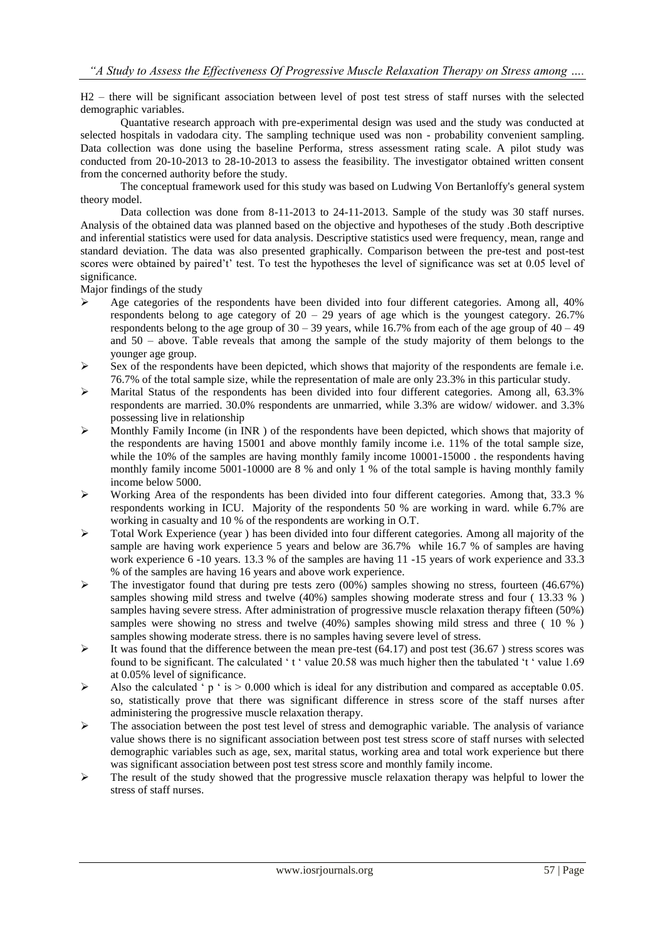H2 – there will be significant association between level of post test stress of staff nurses with the selected demographic variables.

Quantative research approach with pre-experimental design was used and the study was conducted at selected hospitals in vadodara city. The sampling technique used was non - probability convenient sampling. Data collection was done using the baseline Performa, stress assessment rating scale. A pilot study was conducted from 20-10-2013 to 28-10-2013 to assess the feasibility. The investigator obtained written consent from the concerned authority before the study.

The conceptual framework used for this study was based on Ludwing Von Bertanloffy's general system theory model.

Data collection was done from 8-11-2013 to 24-11-2013. Sample of the study was 30 staff nurses. Analysis of the obtained data was planned based on the objective and hypotheses of the study .Both descriptive and inferential statistics were used for data analysis. Descriptive statistics used were frequency, mean, range and standard deviation. The data was also presented graphically. Comparison between the pre-test and post-test scores were obtained by paired't' test. To test the hypotheses the level of significance was set at 0.05 level of significance.

Major findings of the study

- $\triangleright$  Age categories of the respondents have been divided into four different categories. Among all, 40% respondents belong to age category of  $20 - 29$  years of age which is the youngest category. 26.7% respondents belong to the age group of  $30 - 39$  years, while 16.7% from each of the age group of  $40 - 49$ and 50 – above. Table reveals that among the sample of the study majority of them belongs to the younger age group.
- Sex of the respondents have been depicted, which shows that majority of the respondents are female i.e. 76.7% of the total sample size, while the representation of male are only 23.3% in this particular study.
- $\triangleright$  Marital Status of the respondents has been divided into four different categories. Among all, 63.3% respondents are married. 30.0% respondents are unmarried, while 3.3% are widow/ widower. and 3.3% possessing live in relationship
- $\triangleright$  Monthly Family Income (in INR) of the respondents have been depicted, which shows that majority of the respondents are having 15001 and above monthly family income i.e. 11% of the total sample size, while the 10% of the samples are having monthly family income 10001-15000 . the respondents having monthly family income 5001-10000 are 8 % and only 1 % of the total sample is having monthly family income below 5000.
- $\triangleright$  Working Area of the respondents has been divided into four different categories. Among that, 33.3 % respondents working in ICU. Majority of the respondents 50 % are working in ward. while 6.7% are working in casualty and 10 % of the respondents are working in O.T.
- $\triangleright$  Total Work Experience (year ) has been divided into four different categories. Among all majority of the sample are having work experience 5 years and below are 36.7% while 16.7 % of samples are having work experience 6 -10 years. 13.3 % of the samples are having 11 -15 years of work experience and 33.3 % of the samples are having 16 years and above work experience.
- $\triangleright$  The investigator found that during pre tests zero (00%) samples showing no stress, fourteen (46.67%) samples showing mild stress and twelve (40%) samples showing moderate stress and four (13.33 %) samples having severe stress. After administration of progressive muscle relaxation therapy fifteen (50%) samples were showing no stress and twelve (40%) samples showing mild stress and three ( 10 % ) samples showing moderate stress. there is no samples having severe level of stress.
- $\triangleright$  It was found that the difference between the mean pre-test (64.17) and post test (36.67) stress scores was found to be significant. The calculated 't' value 20.58 was much higher then the tabulated 't' value 1.69 at 0.05% level of significance.
- $\triangleright$  Also the calculated 'p ' is  $> 0.000$  which is ideal for any distribution and compared as acceptable 0.05. so, statistically prove that there was significant difference in stress score of the staff nurses after administering the progressive muscle relaxation therapy.
- $\triangleright$  The association between the post test level of stress and demographic variable. The analysis of variance value shows there is no significant association between post test stress score of staff nurses with selected demographic variables such as age, sex, marital status, working area and total work experience but there was significant association between post test stress score and monthly family income.
- The result of the study showed that the progressive muscle relaxation therapy was helpful to lower the stress of staff nurses.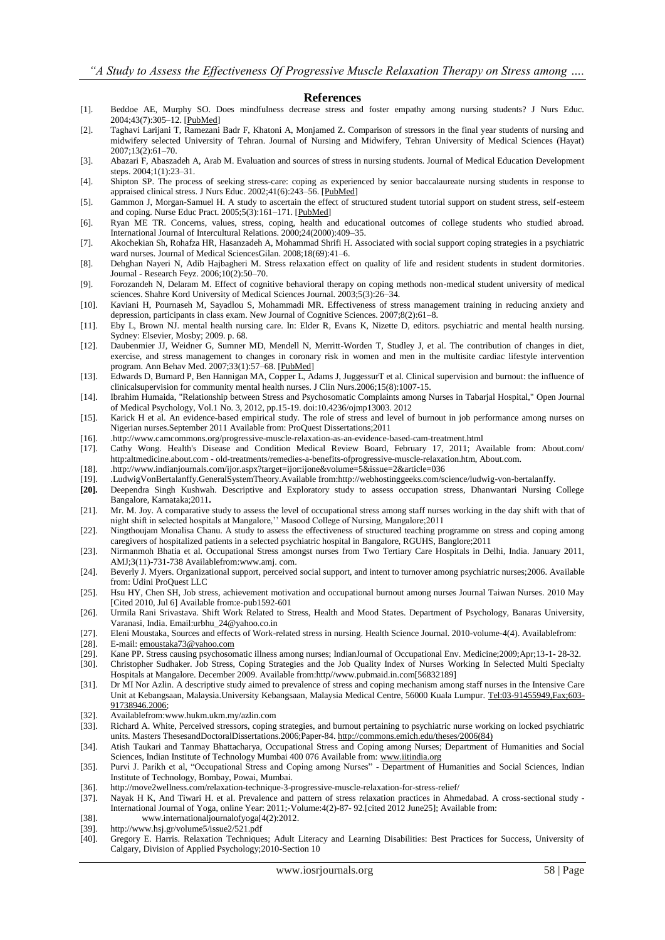#### **References**

- [1]. Beddoe AE, Murphy SO. Does mindfulness decrease stress and foster empathy among nursing students? J Nurs Educ. 2004;43(7):305–12. [\[PubMed\]](http://www.ncbi.nlm.nih.gov/pubmed/15303583)
- [2]. Taghavi Larijani T, Ramezani Badr F, Khatoni A, Monjamed Z. Comparison of stressors in the final year students of nursing and midwifery selected University of Tehran. Journal of Nursing and Midwifery, Tehran University of Medical Sciences (Hayat) 2007;13(2):61–70.
- [3]. Abazari F, Abaszadeh A, Arab M. Evaluation and sources of stress in nursing students. Journal of Medical Education Development steps. 2004;1(1):23–31.
- [4]. Shipton SP. The process of seeking stress-care: coping as experienced by senior baccalaureate nursing students in response to appraised clinical stress. J Nurs Educ. 2002;41(6):243-56. [\[PubMed\]](http://www.ncbi.nlm.nih.gov/pubmed/12096773)
- [5]. Gammon J, Morgan-Samuel H. A study to ascertain the effect of structured student tutorial support on student stress, self-esteem and coping. Nurse Educ Pract. 2005;5(3):161–171. [\[PubMed\]](http://www.ncbi.nlm.nih.gov/pubmed/19038195)
- [6]. Ryan ME TR. Concerns, values, stress, coping, health and educational outcomes of college students who studied abroad. International Journal of Intercultural Relations. 2000;24(2000):409–35.
- [7]. Akochekian Sh, Rohafza HR, Hasanzadeh A, Mohammad Shrifi H. Associated with social support coping strategies in a psychiatric ward nurses. Journal of Medical SciencesGilan. 2008;18(69):41–6.
- [8]. Dehghan Nayeri N, Adib Hajbagheri M. Stress relaxation effect on quality of life and resident students in student dormitories. Journal - Research Feyz. 2006;10(2):50–70.
- [9]. Forozandeh N, Delaram M. Effect of cognitive behavioral therapy on coping methods non-medical student university of medical sciences. Shahre Kord University of Medical Sciences Journal. 2003;5(3):26–34.
- [10]. Kaviani H, Pournaseh M, Sayadlou S, Mohammadi MR. Effectiveness of stress management training in reducing anxiety and depression, participants in class exam. New Journal of Cognitive Sciences. 2007;8(2):61–8.
- [11]. Eby L, Brown NJ. mental health nursing care. In: Elder R, Evans K, Nizette D, editors. psychiatric and mental health nursing. Sydney: Elsevier, Mosby; 2009. p. 68.
- [12]. Daubenmier JJ, Weidner G, Sumner MD, Mendell N, Merritt-Worden T, Studley J, et al. The contribution of changes in diet, exercise, and stress management to changes in coronary risk in women and men in the multisite cardiac lifestyle intervention program. Ann Behav Med. 2007;33(1):57–68. [\[PubMed\]](http://www.ncbi.nlm.nih.gov/pubmed/17291171)
- [13]. Edwards D, Burnard P, Ben Hannigan MA, Copper L, Adams J, JuggessurT et al. Clinical supervision and burnout: the influence of clinicalsupervision for community mental health nurses. J Clin Nurs.2006;15(8):1007-15.
- [14]. Ibrahim Humaida, "Relationship between Stress and Psychosomatic Complaints among Nurses in Tabarjal Hospital," Open Journal of Medical Psychology, Vol.1 No. 3, 2012, pp.15-19. doi:10.4236/ojmp13003. 2012
- [15]. Karick H et al. An evidence-based empirical study. The role of stress and level of burnout in job performance among nurses on Nigerian nurses.September 2011 Available from: ProQuest Dissertations;2011
- [16]. [.http://www.camcommons.org/progressive-muscle-relaxation-as-an-evidence-based-cam-treatment.html](http://www.camcommons.org/progressive-muscle-relaxation-as-an-evidence-based-cam-treatment.html)
- [17]. Cathy Wong. Health's Disease and Condition Medical Review Board, February 17, 2011; Available from: About.com/ http:altmedicine.about.com - old-treatments/remedies-a-benefits-ofprogressive-muscle-relaxation.htm, About.com.
- [18]. .http://www.indianjournals.com/ijor.aspx?target=ijor:ijone&volume=5&issue=2&article=036
- [19]. .LudwigVonBertalanffy.GeneralSystemTheory.Available from:http://webhostinggeeks.com/science/ludwig-von-bertalanffy.
- **[20].** Deependra Singh Kushwah. Descriptive and Exploratory study to assess occupation stress, Dhanwantari Nursing College Bangalore, Karnataka;2011**.**
- [21]. Mr. M. Joy. A comparative study to assess the level of occupational stress among staff nurses working in the day shift with that of night shift in selected hospitals at Mangalore,'' Masood College of Nursing, Mangalore;2011
- [22]. Ningthoujam Monalisa Chanu. A study to assess the effectiveness of structured teaching programme on stress and coping among caregivers of hospitalized patients in a selected psychiatric hospital in Bangalore, RGUHS, Banglore;2011
- [23]. Nirmanmoh Bhatia et al. Occupational Stress amongst nurses from Two Tertiary Care Hospitals in Delhi, India. January 2011, AMJ;3(11)-731-738 Availablefrom:www.amj. com.
- [24]. Beverly J. Myers. Organizational support, perceived social support, and intent to turnover among psychiatric nurses;2006. Available from: Udini ProQuest LLC
- [25]. Hsu HY, Chen SH, Job stress, achievement motivation and occupational burnout among nurses Journal Taiwan Nurses. 2010 May [Cited 2010, Jul 6] Available from:e-pub1592-601
- [26]. Urmila Rani Srivastava. Shift Work Related to Stress, Health and Mood States. Department of Psychology, Banaras University, Varanasi, India. Email:urbhu\_24@yahoo.co.in
- [27]. Eleni Moustaka, Sources and effects of Work-related stress in nursing. Health Science Journal. 2010-volume-4(4). Availablefrom:
- [28]. E-mail[: emoustaka73@yahoo.com](mailto:emoustaka73@yahoo.com)
- [29]. Kane PP. Stress causing psychosomatic illness among nurses; IndianJournal of Occupational Env. Medicine;2009;Apr;13-1- 28-32.
- [30]. Christopher Sudhaker. Job Stress, Coping Strategies and the Job Quality Index of Nurses Working In Selected Multi Specialty Hospitals at Mangalore. December 2009. Available from:http//www.pubmaid.in.com[56832189]
- [31]. Dr MI Nor Azlin. A descriptive study aimed to prevalence of stress and coping mechanism among staff nurses in the Intensive Care Unit at Kebangsaan, Malaysia.University Kebangsaan, Malaysia Medical Centre, 56000 Kuala Lumpur. [Tel:03-91455949,Fax;603-](Tel:03-91455949,Fax;603-91738946.2006) [91738946.2006;](Tel:03-91455949,Fax;603-91738946.2006)
- [32]. Availablefrom:www.hukm.ukm.my/azlin.com
- [33]. Richard A. White, Perceived stressors, coping strategies, and burnout pertaining to psychiatric nurse working on locked psychiatric units. Masters ThesesandDoctoralDissertations.2006;Paper-84[. http://commons.emich.edu/theses/2006\(84\)](http://commons.emich.edu/theses/2006(84))
- [34]. Atish Taukari and Tanmay Bhattacharya, Occupational Stress and Coping among Nurses; Department of Humanities and Social Sciences, Indian Institute of Technology Mumbai 400 076 Available from[: www.iitindia.org](http://www.iitindia.org/)
- [35]. Purvi J. Parikh et al, "Occupational Stress and Coping among Nurses" Department of Humanities and Social Sciences, Indian Institute of Technology, Bombay, Powai, Mumbai.
- [36]. http://move2wellness.com/relaxation-technique-3-progressive-muscle-relaxation-for-stress-relief/
- [37]. Nayak H K, And Tiwari H. et al. Prevalence and pattern of stress relaxation practices in Ahmedabad. A cross-sectional study International Journal of Yoga, online Year: 2011;-Volume:4(2)-87- 92.[cited 2012 June25]; Available from:
- [38]. [www.internationaljournalofyoga\[4\(2\):2012.](http://www.internationaljournalofyoga[4(2):2012/)
- [39]. <http://www.hsj.gr/volume5/issue2/521.pdf>
- [40]. Gregory E. Harris. Relaxation Techniques; Adult Literacy and Learning Disabilities: Best Practices for Success, University of Calgary, Division of Applied Psychology;2010-Section 10